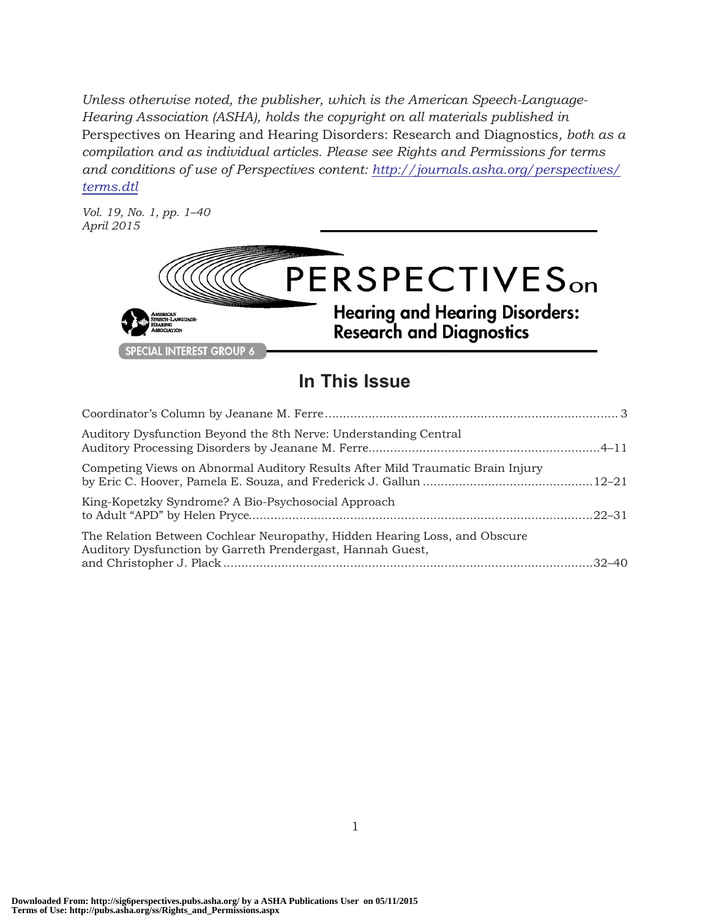Unless otherwise noted, the publisher, which is the American Speech-Language-Hearing Association (ASHA), holds the copyright on all materials published in Perspectives on Hearing and Hearing Disorders: Research and Diagnostics, both as a compilation and as individual articles. Please see Rights and Permissions for terms and conditions of use of Perspectives content: [http://journals.asha.org/perspectives/](http://journals.asha.org/perspectives/terms.dtl) [terms.dtl](http://journals.asha.org/perspectives/terms.dtl)

Vol. 19, No. 1, pp. 1*–*40 April 2015



# In This Issue

| Auditory Dysfunction Beyond the 8th Nerve: Understanding Central                                                                         |  |
|------------------------------------------------------------------------------------------------------------------------------------------|--|
| Competing Views on Abnormal Auditory Results After Mild Traumatic Brain Injury                                                           |  |
| King-Kopetzky Syndrome? A Bio-Psychosocial Approach                                                                                      |  |
| The Relation Between Cochlear Neuropathy, Hidden Hearing Loss, and Obscure<br>Auditory Dysfunction by Garreth Prendergast, Hannah Guest, |  |
|                                                                                                                                          |  |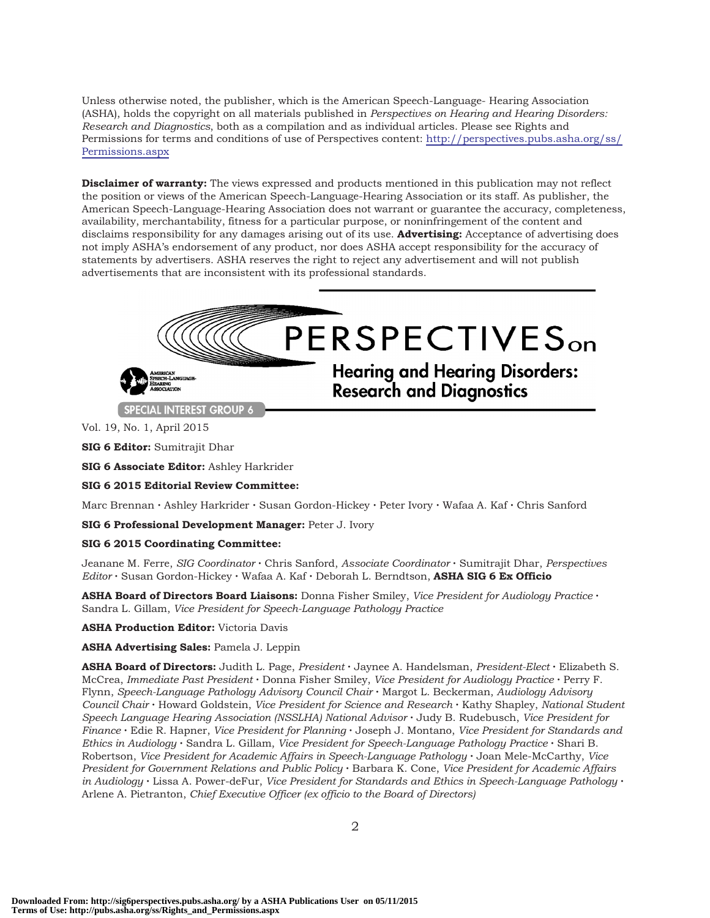Unless otherwise noted, the publisher, which is the American Speech-Language- Hearing Association (ASHA), holds the copyright on all materials published in Perspectives on Hearing and Hearing Disorders: Research and Diagnostics, both as a compilation and as individual articles. Please see Rights and Permissions for terms and conditions of use of Perspectives content: [http://perspectives.pubs.asha.org/ss/](http://perspectives.pubs.asha.org/ss/Permissions.aspx) [Permissions.aspx](http://perspectives.pubs.asha.org/ss/Permissions.aspx)

Disclaimer of warranty: The views expressed and products mentioned in this publication may not reflect the position or views of the American Speech-Language-Hearing Association or its staff. As publisher, the American Speech-Language-Hearing Association does not warrant or guarantee the accuracy, completeness, availability, merchantability, fitness for a particular purpose, or noninfringement of the content and disclaims responsibility for any damages arising out of its use. Advertising: Acceptance of advertising does not imply ASHA*'*s endorsement of any product, nor does ASHA accept responsibility for the accuracy of statements by advertisers. ASHA reserves the right to reject any advertisement and will not publish advertisements that are inconsistent with its professional standards.

> **PERSPECTIVES**<sub>on</sub> **Hearing and Hearing Disorders:**



**Research and Diagnostics SPECIAL INTEREST GROUP 6** 

Vol. 19, No. 1, April 2015

SIG 6 Editor: Sumitrajit Dhar

SIG 6 Associate Editor: Ashley Harkrider

SIG 6 2015 Editorial Review Committee:

Marc Brennan ∙ Ashley Harkrider ∙ Susan Gordon-Hickey ∙ Peter Ivory ∙ Wafaa A. Kaf ∙ Chris Sanford

SIG 6 Professional Development Manager: Peter J. Ivory

#### SIG 6 2015 Coordinating Committee:

Jeanane M. Ferre, SIG Coordinator ∙ Chris Sanford, Associate Coordinator ∙ Sumitrajit Dhar, Perspectives Editor ∙ Susan Gordon-Hickey ∙ Wafaa A. Kaf ∙ Deborah L. Berndtson, ASHA SIG 6 Ex Officio

ASHA Board of Directors Board Liaisons: Donna Fisher Smiley, Vice President for Audiology Practice ⋅ Sandra L. Gillam, Vice President for Speech-Language Pathology Practice

ASHA Production Editor: Victoria Davis

ASHA Advertising Sales: Pamela J. Leppin

ASHA Board of Directors: Judith L. Page, President ⋅ Jaynee A. Handelsman, President-Elect ⋅ Elizabeth S. McCrea, Immediate Past President ∙ Donna Fisher Smiley, Vice President for Audiology Practice ∙ Perry F. Flynn, Speech-Language Pathology Advisory Council Chair ∙ Margot L. Beckerman, Audiology Advisory Council Chair ∙ Howard Goldstein, Vice President for Science and Research ∙ Kathy Shapley, National Student Speech Language Hearing Association (NSSLHA) National Advisor ∙ Judy B. Rudebusch, Vice President for Finance ∙ Edie R. Hapner, Vice President for Planning ∙ Joseph J. Montano, Vice President for Standards and Ethics in Audiology ∙ Sandra L. Gillam, Vice President for Speech-Language Pathology Practice ∙ Shari B. Robertson, Vice President for Academic Affairs in Speech-Language Pathology ∙ Joan Mele-McCarthy, Vice President for Government Relations and Public Policy ∙ Barbara K. Cone, Vice President for Academic Affairs in Audiology ∙ Lissa A. Power-deFur, Vice President for Standards and Ethics in Speech-Language Pathology ∙ Arlene A. Pietranton, Chief Executive Officer (ex officio to the Board of Directors)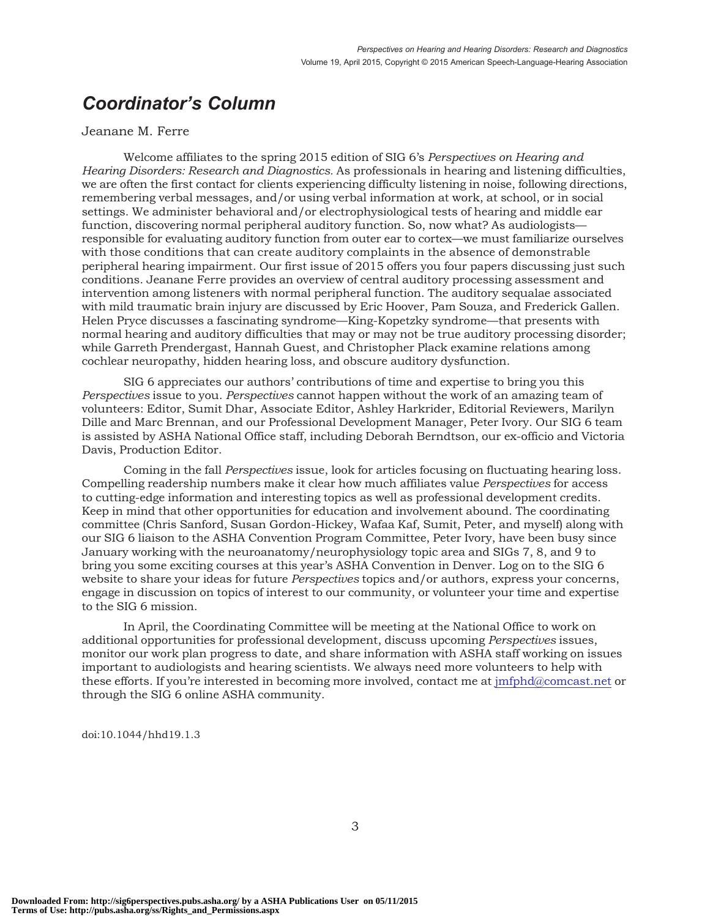# Coordinator*'*s Column

#### Jeanane M. Ferre

Welcome affiliates to the spring 2015 edition of SIG 6's Perspectives on Hearing and Hearing Disorders: Research and Diagnostics. As professionals in hearing and listening difficulties, we are often the first contact for clients experiencing difficulty listening in noise, following directions, remembering verbal messages, and/or using verbal information at work, at school, or in social settings. We administer behavioral and/or electrophysiological tests of hearing and middle ear function, discovering normal peripheral auditory function. So, now what? As audiologists responsible for evaluating auditory function from outer ear to cortex—we must familiarize ourselves with those conditions that can create auditory complaints in the absence of demonstrable peripheral hearing impairment. Our first issue of 2015 offers you four papers discussing just such conditions. Jeanane Ferre provides an overview of central auditory processing assessment and intervention among listeners with normal peripheral function. The auditory sequalae associated with mild traumatic brain injury are discussed by Eric Hoover, Pam Souza, and Frederick Gallen. Helen Pryce discusses a fascinating syndrome—King-Kopetzky syndrome—that presents with normal hearing and auditory difficulties that may or may not be true auditory processing disorder; while Garreth Prendergast, Hannah Guest, and Christopher Plack examine relations among cochlear neuropathy, hidden hearing loss, and obscure auditory dysfunction.

SIG 6 appreciates our authors' contributions of time and expertise to bring you this Perspectives issue to you. Perspectives cannot happen without the work of an amazing team of volunteers: Editor, Sumit Dhar, Associate Editor, Ashley Harkrider, Editorial Reviewers, Marilyn Dille and Marc Brennan, and our Professional Development Manager, Peter Ivory. Our SIG 6 team is assisted by ASHA National Office staff, including Deborah Berndtson, our ex-officio and Victoria Davis, Production Editor.

Coming in the fall Perspectives issue, look for articles focusing on fluctuating hearing loss. Compelling readership numbers make it clear how much affiliates value Perspectives for access to cutting-edge information and interesting topics as well as professional development credits. Keep in mind that other opportunities for education and involvement abound. The coordinating committee (Chris Sanford, Susan Gordon-Hickey, Wafaa Kaf, Sumit, Peter, and myself) along with our SIG 6 liaison to the ASHA Convention Program Committee, Peter Ivory, have been busy since January working with the neuroanatomy/neurophysiology topic area and SIGs 7, 8, and 9 to bring you some exciting courses at this year's ASHA Convention in Denver. Log on to the SIG 6 website to share your ideas for future Perspectives topics and/or authors, express your concerns, engage in discussion on topics of interest to our community, or volunteer your time and expertise to the SIG 6 mission.

In April, the Coordinating Committee will be meeting at the National Office to work on additional opportunities for professional development, discuss upcoming Perspectives issues, monitor our work plan progress to date, and share information with ASHA staff working on issues important to audiologists and hearing scientists. We always need more volunteers to help with these efforts. If you're interested in becoming more involved, contact me at [jmfphd@comcast.net](http://jmfphd@comcast.net) or through the SIG 6 online ASHA community.

doi:10.1044/hhd19.1.3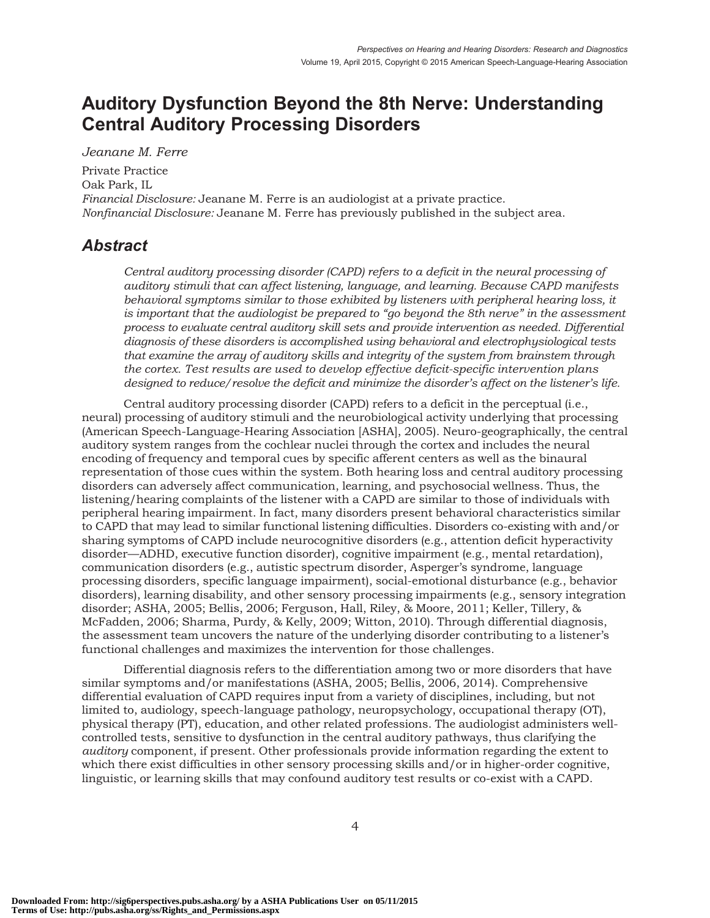# Auditory Dysfunction Beyond the 8th Nerve: Understanding Central Auditory Processing Disorders

Jeanane M. Ferre

Private Practice Oak Park, IL Financial Disclosure: Jeanane M. Ferre is an audiologist at a private practice. Nonfinancial Disclosure: Jeanane M. Ferre has previously published in the subject area.

### **Abstract**

Central auditory processing disorder (CAPD) refers to a deficit in the neural processing of auditory stimuli that can affect listening, language, and learning. Because CAPD manifests behavioral symptoms similar to those exhibited by listeners with peripheral hearing loss, it is important that the audiologist be prepared to "go beyond the 8th nerve" in the assessment process to evaluate central auditory skill sets and provide intervention as needed. Differential diagnosis of these disorders is accomplished using behavioral and electrophysiological tests that examine the array of auditory skills and integrity of the system from brainstem through the cortex. Test results are used to develop effective deficit-specific intervention plans designed to reduce/resolve the deficit and minimize the disorder's affect on the listener's life.

Central auditory processing disorder (CAPD) refers to a deficit in the perceptual (i.e., neural) processing of auditory stimuli and the neurobiological activity underlying that processing (American Speech-Language-Hearing Association [ASHA], 2005). Neuro-geographically, the central auditory system ranges from the cochlear nuclei through the cortex and includes the neural encoding of frequency and temporal cues by specific afferent centers as well as the binaural representation of those cues within the system. Both hearing loss and central auditory processing disorders can adversely affect communication, learning, and psychosocial wellness. Thus, the listening/hearing complaints of the listener with a CAPD are similar to those of individuals with peripheral hearing impairment. In fact, many disorders present behavioral characteristics similar to CAPD that may lead to similar functional listening difficulties. Disorders co-existing with and/or sharing symptoms of CAPD include neurocognitive disorders (e.g., attention deficit hyperactivity disorder—ADHD, executive function disorder), cognitive impairment (e.g., mental retardation), communication disorders (e.g., autistic spectrum disorder, Asperger's syndrome, language processing disorders, specific language impairment), social-emotional disturbance (e.g., behavior disorders), learning disability, and other sensory processing impairments (e.g., sensory integration disorder; ASHA, 2005; Bellis, 2006; Ferguson, Hall, Riley, & Moore, 2011; Keller, Tillery, & McFadden, 2006; Sharma, Purdy, & Kelly, 2009; Witton, 2010). Through differential diagnosis, the assessment team uncovers the nature of the underlying disorder contributing to a listener's functional challenges and maximizes the intervention for those challenges.

Differential diagnosis refers to the differentiation among two or more disorders that have similar symptoms and/or manifestations (ASHA, 2005; Bellis, 2006, 2014). Comprehensive differential evaluation of CAPD requires input from a variety of disciplines, including, but not limited to, audiology, speech-language pathology, neuropsychology, occupational therapy (OT), physical therapy (PT), education, and other related professions. The audiologist administers wellcontrolled tests, sensitive to dysfunction in the central auditory pathways, thus clarifying the auditory component, if present. Other professionals provide information regarding the extent to which there exist difficulties in other sensory processing skills and/or in higher-order cognitive, linguistic, or learning skills that may confound auditory test results or co-exist with a CAPD.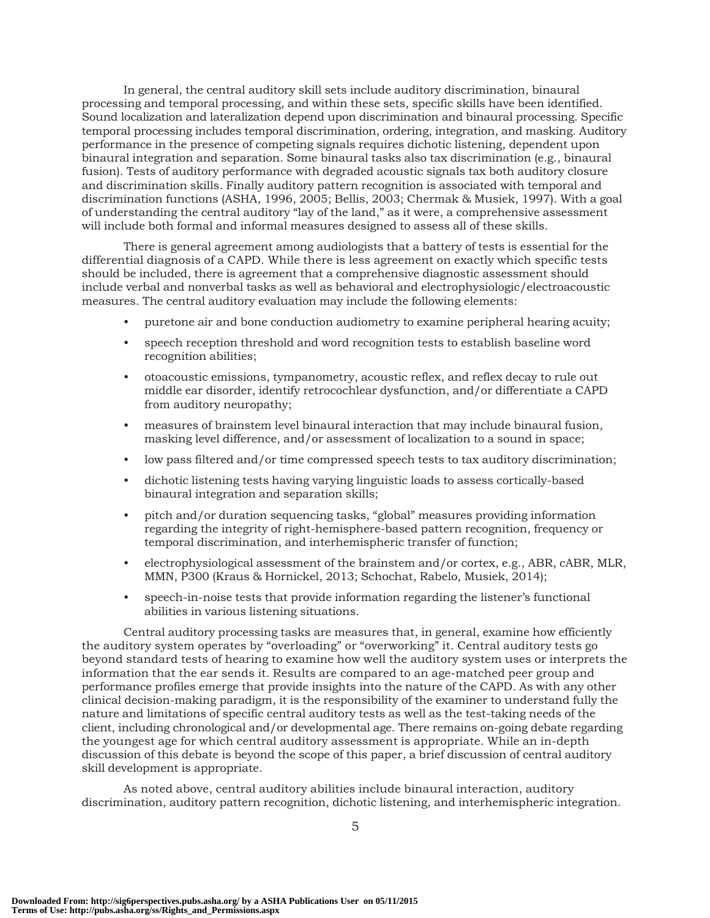In general, the central auditory skill sets include auditory discrimination, binaural processing and temporal processing, and within these sets, specific skills have been identified. Sound localization and lateralization depend upon discrimination and binaural processing. Specific temporal processing includes temporal discrimination, ordering, integration, and masking. Auditory performance in the presence of competing signals requires dichotic listening, dependent upon binaural integration and separation. Some binaural tasks also tax discrimination (e.g., binaural fusion). Tests of auditory performance with degraded acoustic signals tax both auditory closure and discrimination skills. Finally auditory pattern recognition is associated with temporal and discrimination functions (ASHA, 1996, 2005; Bellis, 2003; Chermak & Musiek, 1997). With a goal of understanding the central auditory "lay of the land," as it were, a comprehensive assessment will include both formal and informal measures designed to assess all of these skills.

There is general agreement among audiologists that a battery of tests is essential for the differential diagnosis of a CAPD. While there is less agreement on exactly which specific tests should be included, there is agreement that a comprehensive diagnostic assessment should include verbal and nonverbal tasks as well as behavioral and electrophysiologic/electroacoustic measures. The central auditory evaluation may include the following elements:

- puretone air and bone conduction audiometry to examine peripheral hearing acuity;
- speech reception threshold and word recognition tests to establish baseline word recognition abilities;
- otoacoustic emissions, tympanometry, acoustic reflex, and reflex decay to rule out middle ear disorder, identify retrocochlear dysfunction, and/or differentiate a CAPD from auditory neuropathy;
- measures of brainstem level binaural interaction that may include binaural fusion, masking level difference, and/or assessment of localization to a sound in space;
- low pass filtered and/or time compressed speech tests to tax auditory discrimination;
- dichotic listening tests having varying linguistic loads to assess cortically-based binaural integration and separation skills;
- pitch and/or duration sequencing tasks, "global" measures providing information regarding the integrity of right-hemisphere-based pattern recognition, frequency or temporal discrimination, and interhemispheric transfer of function;
- electrophysiological assessment of the brainstem and/or cortex, e.g., ABR, cABR, MLR, MMN, P300 (Kraus & Hornickel, 2013; Schochat, Rabelo, Musiek, 2014);
- speech-in-noise tests that provide information regarding the listener's functional abilities in various listening situations.

Central auditory processing tasks are measures that, in general, examine how efficiently the auditory system operates by "overloading" or "overworking" it. Central auditory tests go beyond standard tests of hearing to examine how well the auditory system uses or interprets the information that the ear sends it. Results are compared to an age-matched peer group and performance profiles emerge that provide insights into the nature of the CAPD. As with any other clinical decision-making paradigm, it is the responsibility of the examiner to understand fully the nature and limitations of specific central auditory tests as well as the test-taking needs of the client, including chronological and/or developmental age. There remains on-going debate regarding the youngest age for which central auditory assessment is appropriate. While an in-depth discussion of this debate is beyond the scope of this paper, a brief discussion of central auditory skill development is appropriate.

As noted above, central auditory abilities include binaural interaction, auditory discrimination, auditory pattern recognition, dichotic listening, and interhemispheric integration.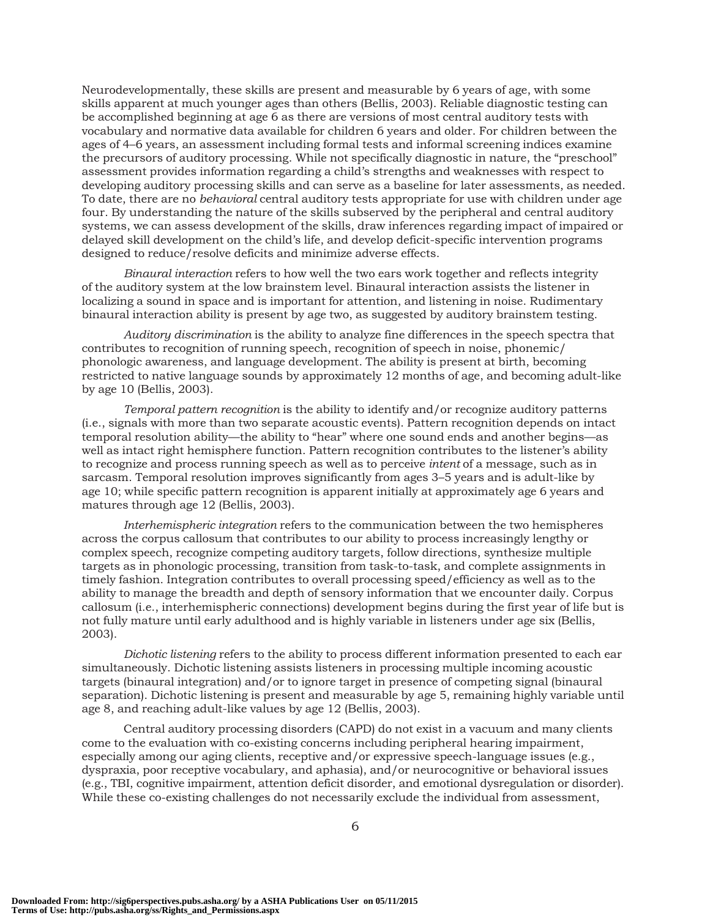Neurodevelopmentally, these skills are present and measurable by 6 years of age, with some skills apparent at much younger ages than others (Bellis, 2003). Reliable diagnostic testing can be accomplished beginning at age 6 as there are versions of most central auditory tests with vocabulary and normative data available for children 6 years and older. For children between the ages of 4–6 years, an assessment including formal tests and informal screening indices examine the precursors of auditory processing. While not specifically diagnostic in nature, the "preschool" assessment provides information regarding a child's strengths and weaknesses with respect to developing auditory processing skills and can serve as a baseline for later assessments, as needed. To date, there are no behavioral central auditory tests appropriate for use with children under age four. By understanding the nature of the skills subserved by the peripheral and central auditory systems, we can assess development of the skills, draw inferences regarding impact of impaired or delayed skill development on the child's life, and develop deficit-specific intervention programs designed to reduce/resolve deficits and minimize adverse effects.

Binaural interaction refers to how well the two ears work together and reflects integrity of the auditory system at the low brainstem level. Binaural interaction assists the listener in localizing a sound in space and is important for attention, and listening in noise. Rudimentary binaural interaction ability is present by age two, as suggested by auditory brainstem testing.

Auditory discrimination is the ability to analyze fine differences in the speech spectra that contributes to recognition of running speech, recognition of speech in noise, phonemic/ phonologic awareness, and language development. The ability is present at birth, becoming restricted to native language sounds by approximately 12 months of age, and becoming adult-like by age 10 (Bellis, 2003).

Temporal pattern recognition is the ability to identify and/or recognize auditory patterns (i.e., signals with more than two separate acoustic events). Pattern recognition depends on intact temporal resolution ability—the ability to "hear" where one sound ends and another begins—as well as intact right hemisphere function. Pattern recognition contributes to the listener's ability to recognize and process running speech as well as to perceive intent of a message, such as in sarcasm. Temporal resolution improves significantly from ages 3–5 years and is adult-like by age 10; while specific pattern recognition is apparent initially at approximately age 6 years and matures through age 12 (Bellis, 2003).

Interhemispheric integration refers to the communication between the two hemispheres across the corpus callosum that contributes to our ability to process increasingly lengthy or complex speech, recognize competing auditory targets, follow directions, synthesize multiple targets as in phonologic processing, transition from task-to-task, and complete assignments in timely fashion. Integration contributes to overall processing speed/efficiency as well as to the ability to manage the breadth and depth of sensory information that we encounter daily. Corpus callosum (i.e., interhemispheric connections) development begins during the first year of life but is not fully mature until early adulthood and is highly variable in listeners under age six (Bellis, 2003).

Dichotic listening refers to the ability to process different information presented to each ear simultaneously. Dichotic listening assists listeners in processing multiple incoming acoustic targets (binaural integration) and/or to ignore target in presence of competing signal (binaural separation). Dichotic listening is present and measurable by age 5, remaining highly variable until age 8, and reaching adult-like values by age 12 (Bellis, 2003).

Central auditory processing disorders (CAPD) do not exist in a vacuum and many clients come to the evaluation with co-existing concerns including peripheral hearing impairment, especially among our aging clients, receptive and/or expressive speech-language issues (e.g., dyspraxia, poor receptive vocabulary, and aphasia), and/or neurocognitive or behavioral issues (e.g., TBI, cognitive impairment, attention deficit disorder, and emotional dysregulation or disorder). While these co-existing challenges do not necessarily exclude the individual from assessment,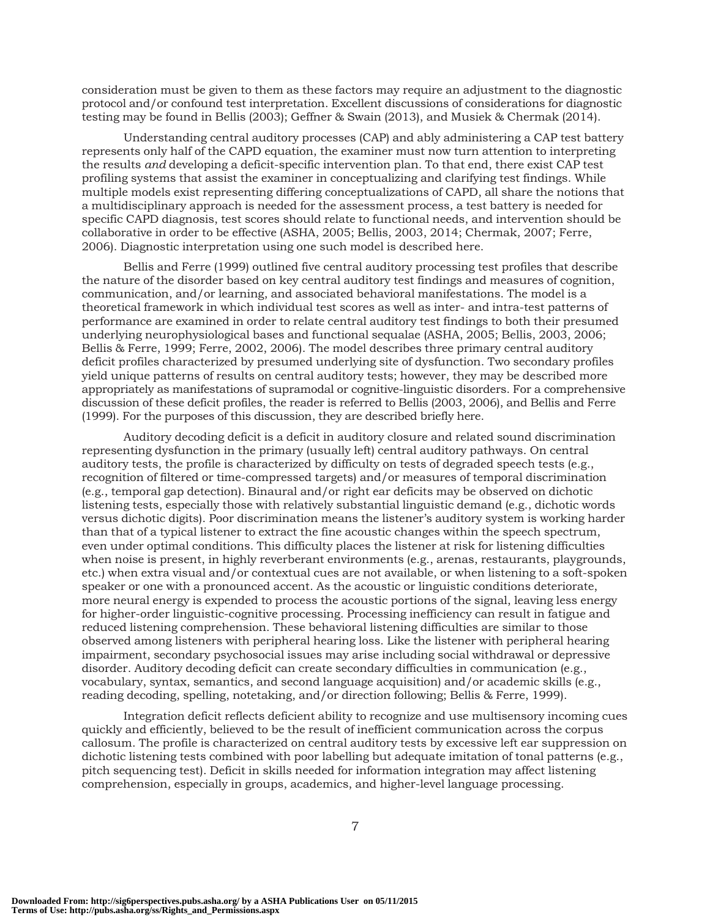consideration must be given to them as these factors may require an adjustment to the diagnostic protocol and/or confound test interpretation. Excellent discussions of considerations for diagnostic testing may be found in Bellis (2003); Geffner & Swain (2013), and Musiek & Chermak (2014).

Understanding central auditory processes (CAP) and ably administering a CAP test battery represents only half of the CAPD equation, the examiner must now turn attention to interpreting the results and developing a deficit-specific intervention plan. To that end, there exist CAP test profiling systems that assist the examiner in conceptualizing and clarifying test findings. While multiple models exist representing differing conceptualizations of CAPD, all share the notions that a multidisciplinary approach is needed for the assessment process, a test battery is needed for specific CAPD diagnosis, test scores should relate to functional needs, and intervention should be collaborative in order to be effective (ASHA, 2005; Bellis, 2003, 2014; Chermak, 2007; Ferre, 2006). Diagnostic interpretation using one such model is described here.

Bellis and Ferre (1999) outlined five central auditory processing test profiles that describe the nature of the disorder based on key central auditory test findings and measures of cognition, communication, and/or learning, and associated behavioral manifestations. The model is a theoretical framework in which individual test scores as well as inter- and intra-test patterns of performance are examined in order to relate central auditory test findings to both their presumed underlying neurophysiological bases and functional sequalae (ASHA, 2005; Bellis, 2003, 2006; Bellis & Ferre, 1999; Ferre, 2002, 2006). The model describes three primary central auditory deficit profiles characterized by presumed underlying site of dysfunction. Two secondary profiles yield unique patterns of results on central auditory tests; however, they may be described more appropriately as manifestations of supramodal or cognitive-linguistic disorders. For a comprehensive discussion of these deficit profiles, the reader is referred to Bellis (2003, 2006), and Bellis and Ferre (1999). For the purposes of this discussion, they are described briefly here.

Auditory decoding deficit is a deficit in auditory closure and related sound discrimination representing dysfunction in the primary (usually left) central auditory pathways. On central auditory tests, the profile is characterized by difficulty on tests of degraded speech tests (e.g., recognition of filtered or time-compressed targets) and/or measures of temporal discrimination (e.g., temporal gap detection). Binaural and/or right ear deficits may be observed on dichotic listening tests, especially those with relatively substantial linguistic demand (e.g., dichotic words versus dichotic digits). Poor discrimination means the listener's auditory system is working harder than that of a typical listener to extract the fine acoustic changes within the speech spectrum, even under optimal conditions. This difficulty places the listener at risk for listening difficulties when noise is present, in highly reverberant environments (e.g., arenas, restaurants, playgrounds, etc.) when extra visual and/or contextual cues are not available, or when listening to a soft-spoken speaker or one with a pronounced accent. As the acoustic or linguistic conditions deteriorate, more neural energy is expended to process the acoustic portions of the signal, leaving less energy for higher-order linguistic-cognitive processing. Processing inefficiency can result in fatigue and reduced listening comprehension. These behavioral listening difficulties are similar to those observed among listeners with peripheral hearing loss. Like the listener with peripheral hearing impairment, secondary psychosocial issues may arise including social withdrawal or depressive disorder. Auditory decoding deficit can create secondary difficulties in communication (e.g., vocabulary, syntax, semantics, and second language acquisition) and/or academic skills (e.g., reading decoding, spelling, notetaking, and/or direction following; Bellis & Ferre, 1999).

Integration deficit reflects deficient ability to recognize and use multisensory incoming cues quickly and efficiently, believed to be the result of inefficient communication across the corpus callosum. The profile is characterized on central auditory tests by excessive left ear suppression on dichotic listening tests combined with poor labelling but adequate imitation of tonal patterns (e.g., pitch sequencing test). Deficit in skills needed for information integration may affect listening comprehension, especially in groups, academics, and higher-level language processing.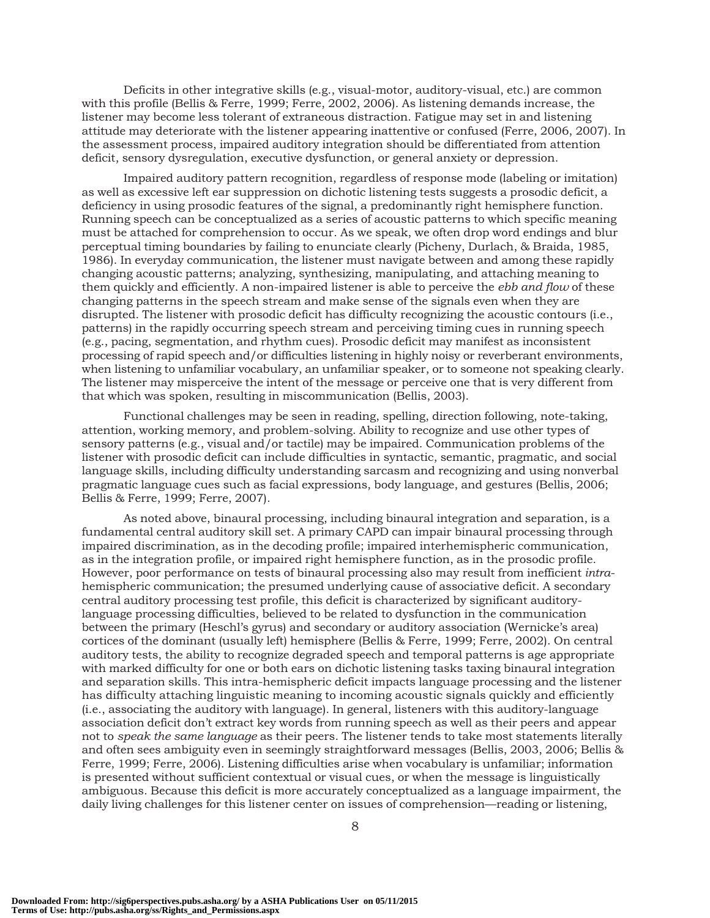Deficits in other integrative skills (e.g., visual-motor, auditory-visual, etc.) are common with this profile (Bellis & Ferre, 1999; Ferre, 2002, 2006). As listening demands increase, the listener may become less tolerant of extraneous distraction. Fatigue may set in and listening attitude may deteriorate with the listener appearing inattentive or confused (Ferre, 2006, 2007). In the assessment process, impaired auditory integration should be differentiated from attention deficit, sensory dysregulation, executive dysfunction, or general anxiety or depression.

Impaired auditory pattern recognition, regardless of response mode (labeling or imitation) as well as excessive left ear suppression on dichotic listening tests suggests a prosodic deficit, a deficiency in using prosodic features of the signal, a predominantly right hemisphere function. Running speech can be conceptualized as a series of acoustic patterns to which specific meaning must be attached for comprehension to occur. As we speak, we often drop word endings and blur perceptual timing boundaries by failing to enunciate clearly (Picheny, Durlach, & Braida, 1985, 1986). In everyday communication, the listener must navigate between and among these rapidly changing acoustic patterns; analyzing, synthesizing, manipulating, and attaching meaning to them quickly and efficiently. A non-impaired listener is able to perceive the *ebb and flow* of these changing patterns in the speech stream and make sense of the signals even when they are disrupted. The listener with prosodic deficit has difficulty recognizing the acoustic contours (i.e., patterns) in the rapidly occurring speech stream and perceiving timing cues in running speech (e.g., pacing, segmentation, and rhythm cues). Prosodic deficit may manifest as inconsistent processing of rapid speech and/or difficulties listening in highly noisy or reverberant environments, when listening to unfamiliar vocabulary, an unfamiliar speaker, or to someone not speaking clearly. The listener may misperceive the intent of the message or perceive one that is very different from that which was spoken, resulting in miscommunication (Bellis, 2003).

Functional challenges may be seen in reading, spelling, direction following, note-taking, attention, working memory, and problem-solving. Ability to recognize and use other types of sensory patterns (e.g., visual and/or tactile) may be impaired. Communication problems of the listener with prosodic deficit can include difficulties in syntactic, semantic, pragmatic, and social language skills, including difficulty understanding sarcasm and recognizing and using nonverbal pragmatic language cues such as facial expressions, body language, and gestures (Bellis, 2006; Bellis & Ferre, 1999; Ferre, 2007).

As noted above, binaural processing, including binaural integration and separation, is a fundamental central auditory skill set. A primary CAPD can impair binaural processing through impaired discrimination, as in the decoding profile; impaired interhemispheric communication, as in the integration profile, or impaired right hemisphere function, as in the prosodic profile. However, poor performance on tests of binaural processing also may result from inefficient intrahemispheric communication; the presumed underlying cause of associative deficit. A secondary central auditory processing test profile, this deficit is characterized by significant auditorylanguage processing difficulties, believed to be related to dysfunction in the communication between the primary (Heschl's gyrus) and secondary or auditory association (Wernicke's area) cortices of the dominant (usually left) hemisphere (Bellis & Ferre, 1999; Ferre, 2002). On central auditory tests, the ability to recognize degraded speech and temporal patterns is age appropriate with marked difficulty for one or both ears on dichotic listening tasks taxing binaural integration and separation skills. This intra-hemispheric deficit impacts language processing and the listener has difficulty attaching linguistic meaning to incoming acoustic signals quickly and efficiently (i.e., associating the auditory with language). In general, listeners with this auditory-language association deficit don't extract key words from running speech as well as their peers and appear not to speak the same language as their peers. The listener tends to take most statements literally and often sees ambiguity even in seemingly straightforward messages (Bellis, 2003, 2006; Bellis & Ferre, 1999; Ferre, 2006). Listening difficulties arise when vocabulary is unfamiliar; information is presented without sufficient contextual or visual cues, or when the message is linguistically ambiguous. Because this deficit is more accurately conceptualized as a language impairment, the daily living challenges for this listener center on issues of comprehension—reading or listening,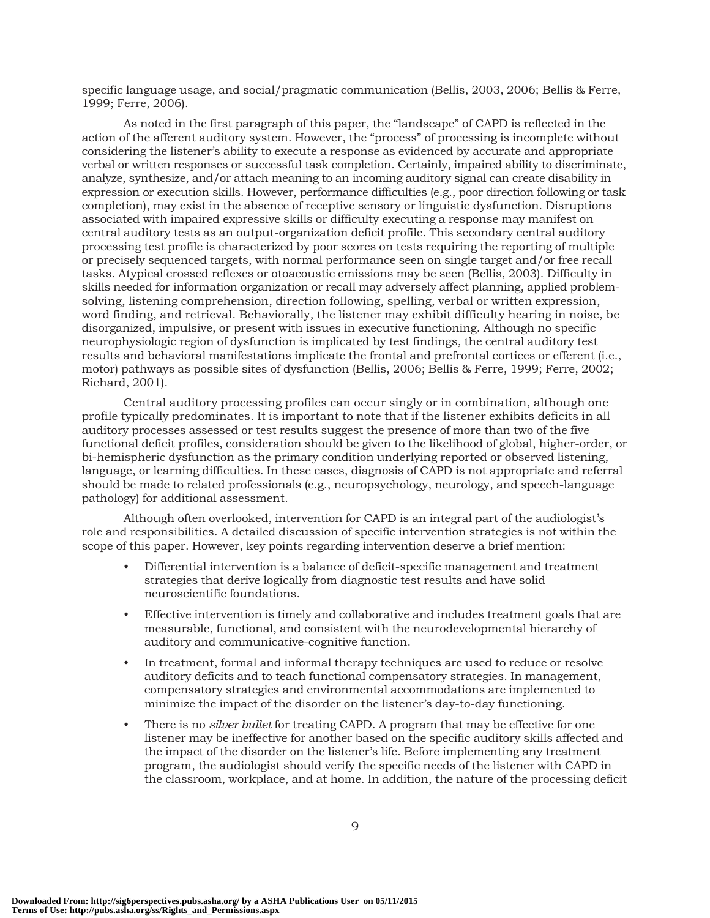specific language usage, and social/pragmatic communication (Bellis, 2003, 2006; Bellis & Ferre, 1999; Ferre, 2006).

As noted in the first paragraph of this paper, the "landscape" of CAPD is reflected in the action of the afferent auditory system. However, the "process" of processing is incomplete without considering the listener's ability to execute a response as evidenced by accurate and appropriate verbal or written responses or successful task completion. Certainly, impaired ability to discriminate, analyze, synthesize, and/or attach meaning to an incoming auditory signal can create disability in expression or execution skills. However, performance difficulties (e.g., poor direction following or task completion), may exist in the absence of receptive sensory or linguistic dysfunction. Disruptions associated with impaired expressive skills or difficulty executing a response may manifest on central auditory tests as an output-organization deficit profile. This secondary central auditory processing test profile is characterized by poor scores on tests requiring the reporting of multiple or precisely sequenced targets, with normal performance seen on single target and/or free recall tasks. Atypical crossed reflexes or otoacoustic emissions may be seen (Bellis, 2003). Difficulty in skills needed for information organization or recall may adversely affect planning, applied problemsolving, listening comprehension, direction following, spelling, verbal or written expression, word finding, and retrieval. Behaviorally, the listener may exhibit difficulty hearing in noise, be disorganized, impulsive, or present with issues in executive functioning. Although no specific neurophysiologic region of dysfunction is implicated by test findings, the central auditory test results and behavioral manifestations implicate the frontal and prefrontal cortices or efferent (i.e., motor) pathways as possible sites of dysfunction (Bellis, 2006; Bellis & Ferre, 1999; Ferre, 2002; Richard, 2001).

Central auditory processing profiles can occur singly or in combination, although one profile typically predominates. It is important to note that if the listener exhibits deficits in all auditory processes assessed or test results suggest the presence of more than two of the five functional deficit profiles, consideration should be given to the likelihood of global, higher-order, or bi-hemispheric dysfunction as the primary condition underlying reported or observed listening, language, or learning difficulties. In these cases, diagnosis of CAPD is not appropriate and referral should be made to related professionals (e.g., neuropsychology, neurology, and speech-language pathology) for additional assessment.

Although often overlooked, intervention for CAPD is an integral part of the audiologist's role and responsibilities. A detailed discussion of specific intervention strategies is not within the scope of this paper. However, key points regarding intervention deserve a brief mention:

- Differential intervention is a balance of deficit-specific management and treatment strategies that derive logically from diagnostic test results and have solid neuroscientific foundations.
- Effective intervention is timely and collaborative and includes treatment goals that are measurable, functional, and consistent with the neurodevelopmental hierarchy of auditory and communicative-cognitive function.
- In treatment, formal and informal therapy techniques are used to reduce or resolve auditory deficits and to teach functional compensatory strategies. In management, compensatory strategies and environmental accommodations are implemented to minimize the impact of the disorder on the listener's day-to-day functioning.
- There is no *silver bullet* for treating CAPD. A program that may be effective for one listener may be ineffective for another based on the specific auditory skills affected and the impact of the disorder on the listener's life. Before implementing any treatment program, the audiologist should verify the specific needs of the listener with CAPD in the classroom, workplace, and at home. In addition, the nature of the processing deficit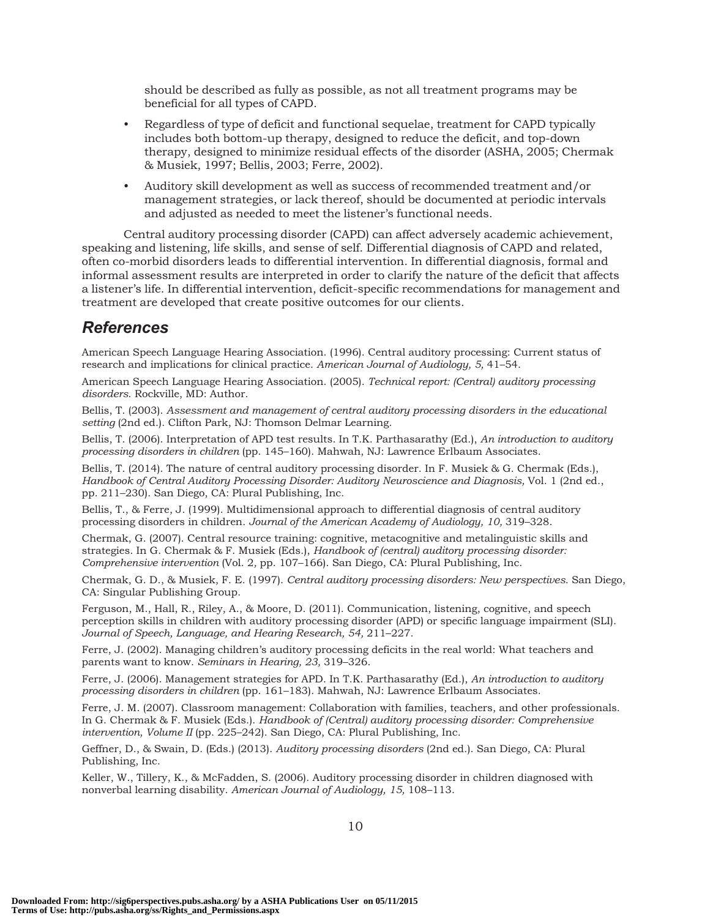should be described as fully as possible, as not all treatment programs may be beneficial for all types of CAPD.

- Regardless of type of deficit and functional sequelae, treatment for CAPD typically includes both bottom-up therapy, designed to reduce the deficit, and top-down therapy, designed to minimize residual effects of the disorder (ASHA, 2005; Chermak & Musiek, 1997; Bellis, 2003; Ferre, 2002).
- Auditory skill development as well as success of recommended treatment and/or management strategies, or lack thereof, should be documented at periodic intervals and adjusted as needed to meet the listener's functional needs.

Central auditory processing disorder (CAPD) can affect adversely academic achievement, speaking and listening, life skills, and sense of self. Differential diagnosis of CAPD and related, often co-morbid disorders leads to differential intervention. In differential diagnosis, formal and informal assessment results are interpreted in order to clarify the nature of the deficit that affects a listener's life. In differential intervention, deficit-specific recommendations for management and treatment are developed that create positive outcomes for our clients.

## References

American Speech Language Hearing Association. (1996). Central auditory processing: Current status of research and implications for clinical practice. American Journal of Audiology, 5, 41–54.

American Speech Language Hearing Association. (2005). Technical report: (Central) auditory processing disorders. Rockville, MD: Author.

Bellis, T. (2003). Assessment and management of central auditory processing disorders in the educational setting (2nd ed.). Clifton Park, NJ: Thomson Delmar Learning.

Bellis, T. (2006). Interpretation of APD test results. In T.K. Parthasarathy (Ed.), An introduction to auditory processing disorders in children (pp. 145–160). Mahwah, NJ: Lawrence Erlbaum Associates.

Bellis, T. (2014). The nature of central auditory processing disorder. In F. Musiek & G. Chermak (Eds.), Handbook of Central Auditory Processing Disorder: Auditory Neuroscience and Diagnosis, Vol. 1 (2nd ed., pp. 211–230). San Diego, CA: Plural Publishing, Inc.

Bellis, T., & Ferre, J. (1999). Multidimensional approach to differential diagnosis of central auditory processing disorders in children. Journal of the American Academy of Audiology, 10, 319–328.

Chermak, G. (2007). Central resource training: cognitive, metacognitive and metalinguistic skills and strategies. In G. Chermak & F. Musiek (Eds.), Handbook of (central) auditory processing disorder: Comprehensive intervention (Vol. 2, pp. 107–166). San Diego, CA: Plural Publishing, Inc.

Chermak, G. D., & Musiek, F. E. (1997). Central auditory processing disorders: New perspectives. San Diego, CA: Singular Publishing Group.

Ferguson, M., Hall, R., Riley, A., & Moore, D. (2011). Communication, listening, cognitive, and speech perception skills in children with auditory processing disorder (APD) or specific language impairment (SLI). Journal of Speech, Language, and Hearing Research, 54, 211–227.

Ferre, J. (2002). Managing children's auditory processing deficits in the real world: What teachers and parents want to know. Seminars in Hearing, 23, 319–326.

Ferre, J. (2006). Management strategies for APD. In T.K. Parthasarathy (Ed.), An introduction to auditory processing disorders in children (pp. 161–183). Mahwah, NJ: Lawrence Erlbaum Associates.

Ferre, J. M. (2007). Classroom management: Collaboration with families, teachers, and other professionals. In G. Chermak & F. Musiek (Eds.). Handbook of (Central) auditory processing disorder: Comprehensive intervention, Volume II (pp. 225–242). San Diego, CA: Plural Publishing, Inc.

Geffner, D., & Swain, D. (Eds.) (2013). Auditory processing disorders (2nd ed.). San Diego, CA: Plural Publishing, Inc.

Keller, W., Tillery, K., & McFadden, S. (2006). Auditory processing disorder in children diagnosed with nonverbal learning disability. American Journal of Audiology, 15, 108–113.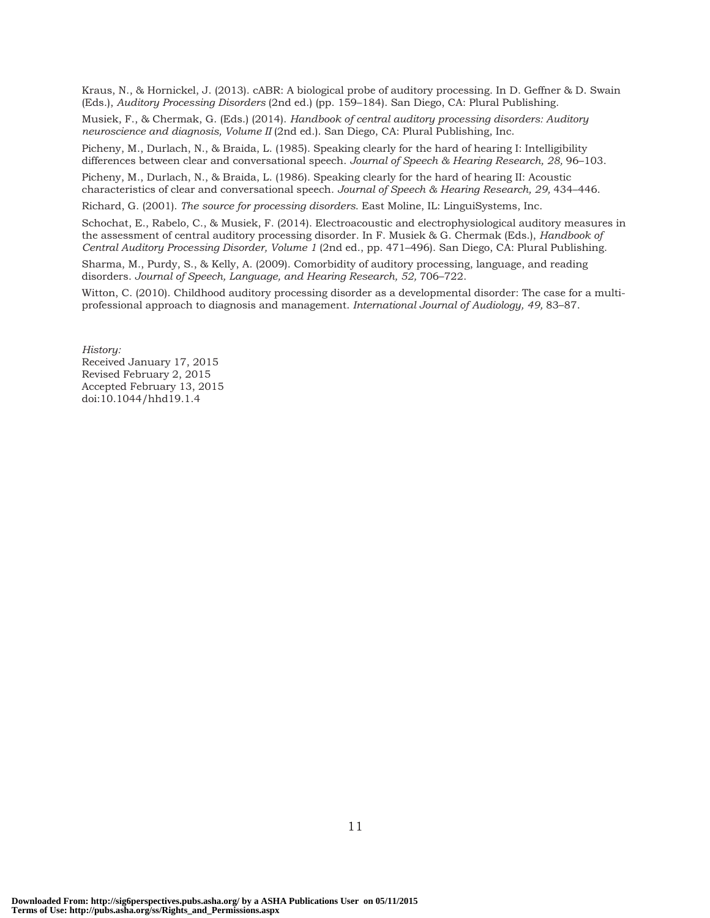Kraus, N., & Hornickel, J. (2013). cABR: A biological probe of auditory processing. In D. Geffner & D. Swain (Eds.), Auditory Processing Disorders (2nd ed.) (pp. 159–184). San Diego, CA: Plural Publishing.

Musiek, F., & Chermak, G. (Eds.) (2014). Handbook of central auditory processing disorders: Auditory neuroscience and diagnosis, Volume II (2nd ed.). San Diego, CA: Plural Publishing, Inc.

Picheny, M., Durlach, N., & Braida, L. (1985). Speaking clearly for the hard of hearing I: Intelligibility differences between clear and conversational speech. Journal of Speech & Hearing Research, 28, 96–103.

Picheny, M., Durlach, N., & Braida, L. (1986). Speaking clearly for the hard of hearing II: Acoustic characteristics of clear and conversational speech. Journal of Speech & Hearing Research, 29, 434–446.

Richard, G. (2001). The source for processing disorders. East Moline, IL: LinguiSystems, Inc.

Schochat, E., Rabelo, C., & Musiek, F. (2014). Electroacoustic and electrophysiological auditory measures in the assessment of central auditory processing disorder. In F. Musiek & G. Chermak (Eds.), Handbook of Central Auditory Processing Disorder, Volume 1 (2nd ed., pp. 471–496). San Diego, CA: Plural Publishing.

Sharma, M., Purdy, S., & Kelly, A. (2009). Comorbidity of auditory processing, language, and reading disorders. Journal of Speech, Language, and Hearing Research, 52, 706–722.

Witton, C. (2010). Childhood auditory processing disorder as a developmental disorder: The case for a multiprofessional approach to diagnosis and management. International Journal of Audiology, 49, 83–87.

History: Received January 17, 2015 Revised February 2, 2015 Accepted February 13, 2015 doi:10.1044/hhd19.1.4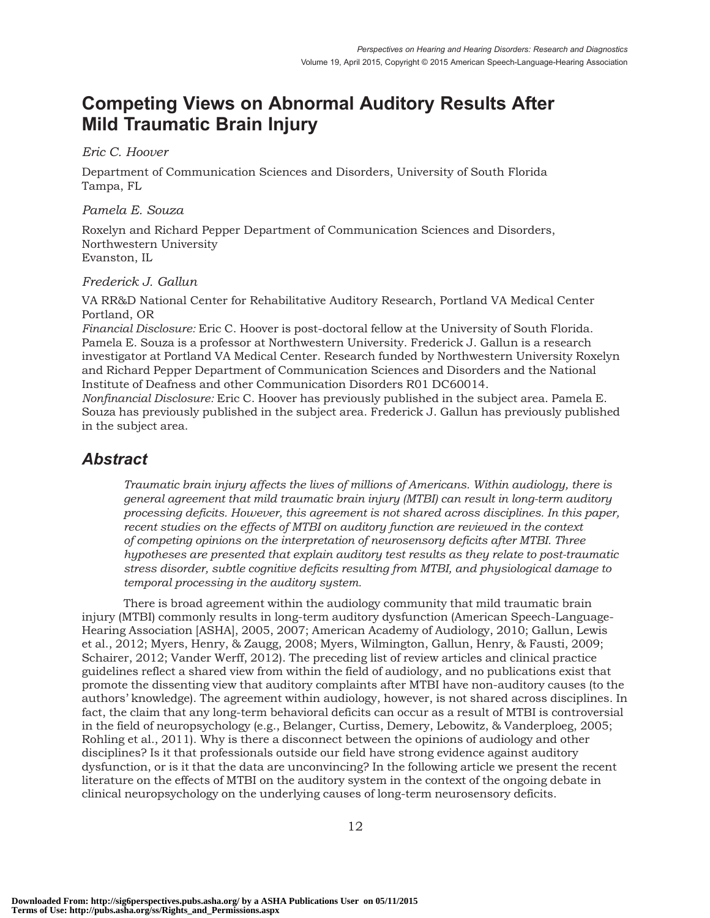# Competing Views on Abnormal Auditory Results After Mild Traumatic Brain Injury

#### Eric C. Hoover

Department of Communication Sciences and Disorders, University of South Florida Tampa, FL

#### Pamela E. Souza

Roxelyn and Richard Pepper Department of Communication Sciences and Disorders, Northwestern University Evanston, IL

#### Frederick J. Gallun

VA RR&D National Center for Rehabilitative Auditory Research, Portland VA Medical Center Portland, OR

Financial Disclosure: Eric C. Hoover is post-doctoral fellow at the University of South Florida. Pamela E. Souza is a professor at Northwestern University. Frederick J. Gallun is a research investigator at Portland VA Medical Center. Research funded by Northwestern University Roxelyn and Richard Pepper Department of Communication Sciences and Disorders and the National Institute of Deafness and other Communication Disorders R01 DC60014.

Nonfinancial Disclosure: Eric C. Hoover has previously published in the subject area. Pamela E. Souza has previously published in the subject area. Frederick J. Gallun has previously published in the subject area.

## **Abstract**

Traumatic brain injury affects the lives of millions of Americans. Within audiology, there is general agreement that mild traumatic brain injury (MTBI) can result in long-term auditory processing deficits. However, this agreement is not shared across disciplines. In this paper, recent studies on the effects of MTBI on auditory function are reviewed in the context of competing opinions on the interpretation of neurosensory deficits after MTBI. Three hypotheses are presented that explain auditory test results as they relate to post-traumatic stress disorder, subtle cognitive deficits resulting from MTBI, and physiological damage to temporal processing in the auditory system.

There is broad agreement within the audiology community that mild traumatic brain injury (MTBI) commonly results in long-term auditory dysfunction (American Speech-Language-Hearing Association [ASHA], 2005, 2007; American Academy of Audiology, 2010; Gallun, Lewis et al., 2012; Myers, Henry, & Zaugg, 2008; Myers, Wilmington, Gallun, Henry, & Fausti, 2009; Schairer, 2012; Vander Werff, 2012). The preceding list of review articles and clinical practice guidelines reflect a shared view from within the field of audiology, and no publications exist that promote the dissenting view that auditory complaints after MTBI have non-auditory causes (to the authors' knowledge). The agreement within audiology, however, is not shared across disciplines. In fact, the claim that any long-term behavioral deficits can occur as a result of MTBI is controversial in the field of neuropsychology (e.g., Belanger, Curtiss, Demery, Lebowitz, & Vanderploeg, 2005; Rohling et al., 2011). Why is there a disconnect between the opinions of audiology and other disciplines? Is it that professionals outside our field have strong evidence against auditory dysfunction, or is it that the data are unconvincing? In the following article we present the recent literature on the effects of MTBI on the auditory system in the context of the ongoing debate in clinical neuropsychology on the underlying causes of long-term neurosensory deficits.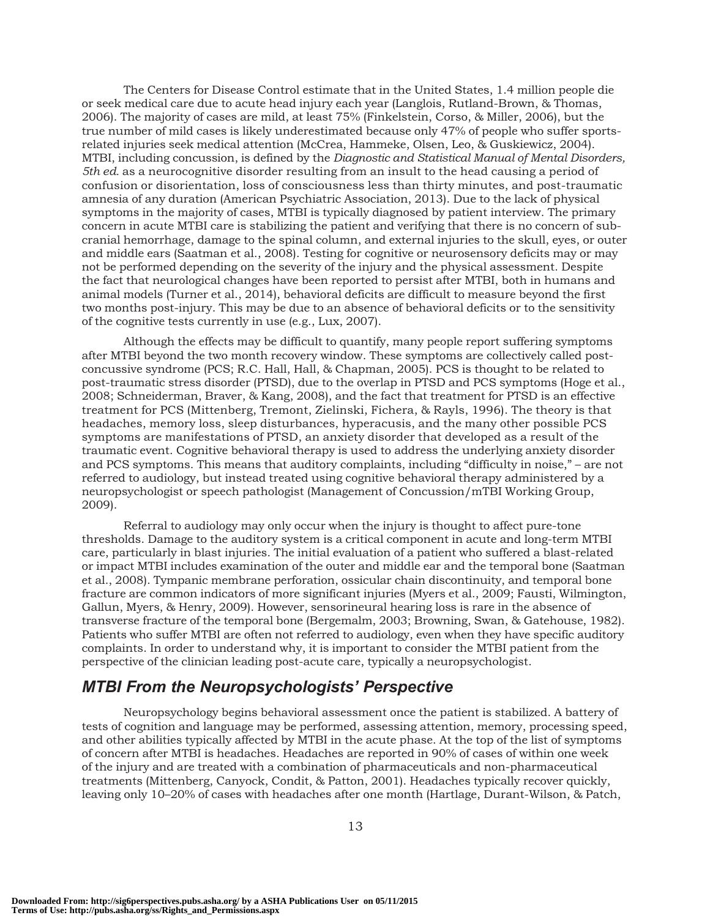The Centers for Disease Control estimate that in the United States, 1.4 million people die or seek medical care due to acute head injury each year (Langlois, Rutland-Brown, & Thomas, 2006). The majority of cases are mild, at least 75% (Finkelstein, Corso, & Miller, 2006), but the true number of mild cases is likely underestimated because only 47% of people who suffer sportsrelated injuries seek medical attention (McCrea, Hammeke, Olsen, Leo, & Guskiewicz, 2004). MTBI, including concussion, is defined by the Diagnostic and Statistical Manual of Mental Disorders, 5th ed. as a neurocognitive disorder resulting from an insult to the head causing a period of confusion or disorientation, loss of consciousness less than thirty minutes, and post-traumatic amnesia of any duration (American Psychiatric Association, 2013). Due to the lack of physical symptoms in the majority of cases, MTBI is typically diagnosed by patient interview. The primary concern in acute MTBI care is stabilizing the patient and verifying that there is no concern of subcranial hemorrhage, damage to the spinal column, and external injuries to the skull, eyes, or outer and middle ears (Saatman et al., 2008). Testing for cognitive or neurosensory deficits may or may not be performed depending on the severity of the injury and the physical assessment. Despite the fact that neurological changes have been reported to persist after MTBI, both in humans and animal models (Turner et al., 2014), behavioral deficits are difficult to measure beyond the first two months post-injury. This may be due to an absence of behavioral deficits or to the sensitivity of the cognitive tests currently in use (e.g., Lux, 2007).

Although the effects may be difficult to quantify, many people report suffering symptoms after MTBI beyond the two month recovery window. These symptoms are collectively called postconcussive syndrome (PCS; R.C. Hall, Hall, & Chapman, 2005). PCS is thought to be related to post-traumatic stress disorder (PTSD), due to the overlap in PTSD and PCS symptoms (Hoge et al., 2008; Schneiderman, Braver, & Kang, 2008), and the fact that treatment for PTSD is an effective treatment for PCS (Mittenberg, Tremont, Zielinski, Fichera, & Rayls, 1996). The theory is that headaches, memory loss, sleep disturbances, hyperacusis, and the many other possible PCS symptoms are manifestations of PTSD, an anxiety disorder that developed as a result of the traumatic event. Cognitive behavioral therapy is used to address the underlying anxiety disorder and PCS symptoms. This means that auditory complaints, including "difficulty in noise," – are not referred to audiology, but instead treated using cognitive behavioral therapy administered by a neuropsychologist or speech pathologist (Management of Concussion/mTBI Working Group, 2009).

Referral to audiology may only occur when the injury is thought to affect pure-tone thresholds. Damage to the auditory system is a critical component in acute and long-term MTBI care, particularly in blast injuries. The initial evaluation of a patient who suffered a blast-related or impact MTBI includes examination of the outer and middle ear and the temporal bone (Saatman et al., 2008). Tympanic membrane perforation, ossicular chain discontinuity, and temporal bone fracture are common indicators of more significant injuries (Myers et al., 2009; Fausti, Wilmington, Gallun, Myers, & Henry, 2009). However, sensorineural hearing loss is rare in the absence of transverse fracture of the temporal bone (Bergemalm, 2003; Browning, Swan, & Gatehouse, 1982). Patients who suffer MTBI are often not referred to audiology, even when they have specific auditory complaints. In order to understand why, it is important to consider the MTBI patient from the perspective of the clinician leading post-acute care, typically a neuropsychologist.

## MTBI From the Neuropsychologists*'* Perspective

Neuropsychology begins behavioral assessment once the patient is stabilized. A battery of tests of cognition and language may be performed, assessing attention, memory, processing speed, and other abilities typically affected by MTBI in the acute phase. At the top of the list of symptoms of concern after MTBI is headaches. Headaches are reported in 90% of cases of within one week of the injury and are treated with a combination of pharmaceuticals and non-pharmaceutical treatments (Mittenberg, Canyock, Condit, & Patton, 2001). Headaches typically recover quickly, leaving only 10–20% of cases with headaches after one month (Hartlage, Durant-Wilson, & Patch,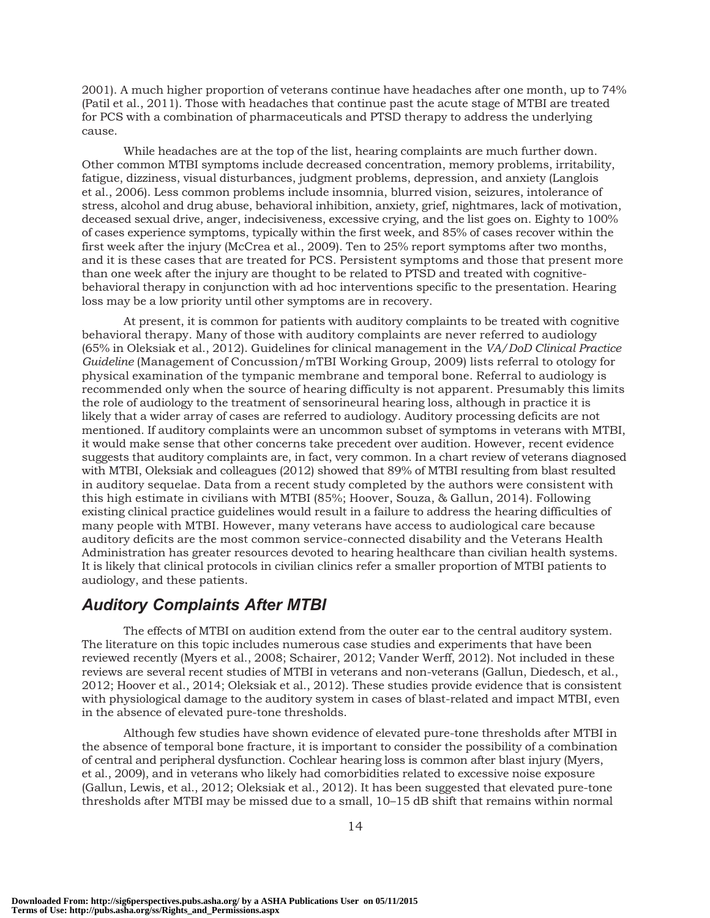2001). A much higher proportion of veterans continue have headaches after one month, up to 74% (Patil et al., 2011). Those with headaches that continue past the acute stage of MTBI are treated for PCS with a combination of pharmaceuticals and PTSD therapy to address the underlying cause.

While headaches are at the top of the list, hearing complaints are much further down. Other common MTBI symptoms include decreased concentration, memory problems, irritability, fatigue, dizziness, visual disturbances, judgment problems, depression, and anxiety (Langlois et al., 2006). Less common problems include insomnia, blurred vision, seizures, intolerance of stress, alcohol and drug abuse, behavioral inhibition, anxiety, grief, nightmares, lack of motivation, deceased sexual drive, anger, indecisiveness, excessive crying, and the list goes on. Eighty to 100% of cases experience symptoms, typically within the first week, and 85% of cases recover within the first week after the injury (McCrea et al., 2009). Ten to 25% report symptoms after two months, and it is these cases that are treated for PCS. Persistent symptoms and those that present more than one week after the injury are thought to be related to PTSD and treated with cognitivebehavioral therapy in conjunction with ad hoc interventions specific to the presentation. Hearing loss may be a low priority until other symptoms are in recovery.

At present, it is common for patients with auditory complaints to be treated with cognitive behavioral therapy. Many of those with auditory complaints are never referred to audiology (65% in Oleksiak et al., 2012). Guidelines for clinical management in the VA/DoD Clinical Practice Guideline (Management of Concussion/mTBI Working Group, 2009) lists referral to otology for physical examination of the tympanic membrane and temporal bone. Referral to audiology is recommended only when the source of hearing difficulty is not apparent. Presumably this limits the role of audiology to the treatment of sensorineural hearing loss, although in practice it is likely that a wider array of cases are referred to audiology. Auditory processing deficits are not mentioned. If auditory complaints were an uncommon subset of symptoms in veterans with MTBI, it would make sense that other concerns take precedent over audition. However, recent evidence suggests that auditory complaints are, in fact, very common. In a chart review of veterans diagnosed with MTBI, Oleksiak and colleagues (2012) showed that 89% of MTBI resulting from blast resulted in auditory sequelae. Data from a recent study completed by the authors were consistent with this high estimate in civilians with MTBI (85%; Hoover, Souza, & Gallun, 2014). Following existing clinical practice guidelines would result in a failure to address the hearing difficulties of many people with MTBI. However, many veterans have access to audiological care because auditory deficits are the most common service-connected disability and the Veterans Health Administration has greater resources devoted to hearing healthcare than civilian health systems. It is likely that clinical protocols in civilian clinics refer a smaller proportion of MTBI patients to audiology, and these patients.

## Auditory Complaints After MTBI

The effects of MTBI on audition extend from the outer ear to the central auditory system. The literature on this topic includes numerous case studies and experiments that have been reviewed recently (Myers et al., 2008; Schairer, 2012; Vander Werff, 2012). Not included in these reviews are several recent studies of MTBI in veterans and non-veterans (Gallun, Diedesch, et al., 2012; Hoover et al., 2014; Oleksiak et al., 2012). These studies provide evidence that is consistent with physiological damage to the auditory system in cases of blast-related and impact MTBI, even in the absence of elevated pure-tone thresholds.

Although few studies have shown evidence of elevated pure-tone thresholds after MTBI in the absence of temporal bone fracture, it is important to consider the possibility of a combination of central and peripheral dysfunction. Cochlear hearing loss is common after blast injury (Myers, et al., 2009), and in veterans who likely had comorbidities related to excessive noise exposure (Gallun, Lewis, et al., 2012; Oleksiak et al., 2012). It has been suggested that elevated pure-tone thresholds after MTBI may be missed due to a small, 10–15 dB shift that remains within normal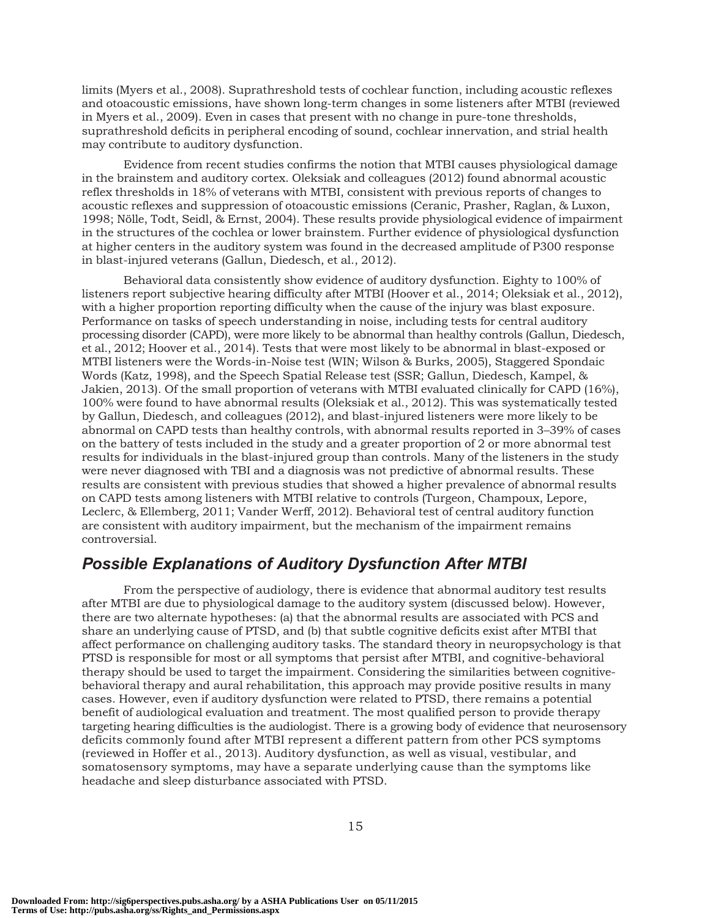limits (Myers et al., 2008). Suprathreshold tests of cochlear function, including acoustic reflexes and otoacoustic emissions, have shown long-term changes in some listeners after MTBI (reviewed in Myers et al., 2009). Even in cases that present with no change in pure-tone thresholds, suprathreshold deficits in peripheral encoding of sound, cochlear innervation, and strial health may contribute to auditory dysfunction.

Evidence from recent studies confirms the notion that MTBI causes physiological damage in the brainstem and auditory cortex. Oleksiak and colleagues (2012) found abnormal acoustic reflex thresholds in 18% of veterans with MTBI, consistent with previous reports of changes to acoustic reflexes and suppression of otoacoustic emissions (Ceranic, Prasher, Raglan, & Luxon, 1998; Nölle, Todt, Seidl, & Ernst, 2004). These results provide physiological evidence of impairment in the structures of the cochlea or lower brainstem. Further evidence of physiological dysfunction at higher centers in the auditory system was found in the decreased amplitude of P300 response in blast-injured veterans (Gallun, Diedesch, et al., 2012).

Behavioral data consistently show evidence of auditory dysfunction. Eighty to 100% of listeners report subjective hearing difficulty after MTBI (Hoover et al., 2014; Oleksiak et al., 2012), with a higher proportion reporting difficulty when the cause of the injury was blast exposure. Performance on tasks of speech understanding in noise, including tests for central auditory processing disorder (CAPD), were more likely to be abnormal than healthy controls (Gallun, Diedesch, et al., 2012; Hoover et al., 2014). Tests that were most likely to be abnormal in blast-exposed or MTBI listeners were the Words-in-Noise test (WIN; Wilson & Burks, 2005), Staggered Spondaic Words (Katz, 1998), and the Speech Spatial Release test (SSR; Gallun, Diedesch, Kampel, & Jakien, 2013). Of the small proportion of veterans with MTBI evaluated clinically for CAPD (16%), 100% were found to have abnormal results (Oleksiak et al., 2012). This was systematically tested by Gallun, Diedesch, and colleagues (2012), and blast-injured listeners were more likely to be abnormal on CAPD tests than healthy controls, with abnormal results reported in 3–39% of cases on the battery of tests included in the study and a greater proportion of 2 or more abnormal test results for individuals in the blast-injured group than controls. Many of the listeners in the study were never diagnosed with TBI and a diagnosis was not predictive of abnormal results. These results are consistent with previous studies that showed a higher prevalence of abnormal results on CAPD tests among listeners with MTBI relative to controls (Turgeon, Champoux, Lepore, Leclerc, & Ellemberg, 2011; Vander Werff, 2012). Behavioral test of central auditory function are consistent with auditory impairment, but the mechanism of the impairment remains controversial.

## Possible Explanations of Auditory Dysfunction After MTBI

From the perspective of audiology, there is evidence that abnormal auditory test results after MTBI are due to physiological damage to the auditory system (discussed below). However, there are two alternate hypotheses: (a) that the abnormal results are associated with PCS and share an underlying cause of PTSD, and (b) that subtle cognitive deficits exist after MTBI that affect performance on challenging auditory tasks. The standard theory in neuropsychology is that PTSD is responsible for most or all symptoms that persist after MTBI, and cognitive-behavioral therapy should be used to target the impairment. Considering the similarities between cognitivebehavioral therapy and aural rehabilitation, this approach may provide positive results in many cases. However, even if auditory dysfunction were related to PTSD, there remains a potential benefit of audiological evaluation and treatment. The most qualified person to provide therapy targeting hearing difficulties is the audiologist. There is a growing body of evidence that neurosensory deficits commonly found after MTBI represent a different pattern from other PCS symptoms (reviewed in Hoffer et al., 2013). Auditory dysfunction, as well as visual, vestibular, and somatosensory symptoms, may have a separate underlying cause than the symptoms like headache and sleep disturbance associated with PTSD.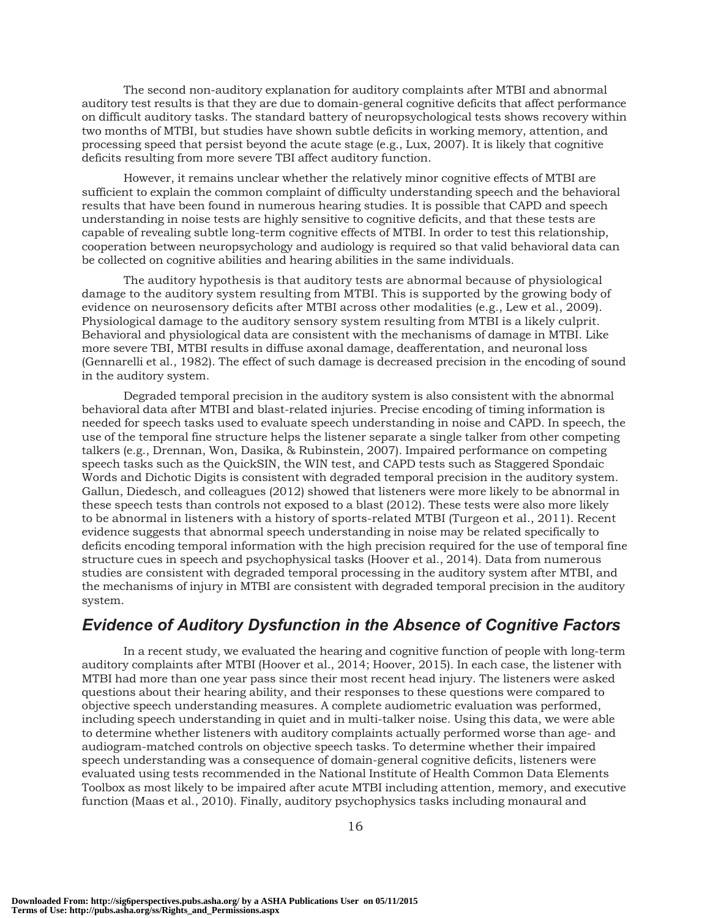The second non-auditory explanation for auditory complaints after MTBI and abnormal auditory test results is that they are due to domain-general cognitive deficits that affect performance on difficult auditory tasks. The standard battery of neuropsychological tests shows recovery within two months of MTBI, but studies have shown subtle deficits in working memory, attention, and processing speed that persist beyond the acute stage (e.g., Lux, 2007). It is likely that cognitive deficits resulting from more severe TBI affect auditory function.

However, it remains unclear whether the relatively minor cognitive effects of MTBI are sufficient to explain the common complaint of difficulty understanding speech and the behavioral results that have been found in numerous hearing studies. It is possible that CAPD and speech understanding in noise tests are highly sensitive to cognitive deficits, and that these tests are capable of revealing subtle long-term cognitive effects of MTBI. In order to test this relationship, cooperation between neuropsychology and audiology is required so that valid behavioral data can be collected on cognitive abilities and hearing abilities in the same individuals.

The auditory hypothesis is that auditory tests are abnormal because of physiological damage to the auditory system resulting from MTBI. This is supported by the growing body of evidence on neurosensory deficits after MTBI across other modalities (e.g., Lew et al., 2009). Physiological damage to the auditory sensory system resulting from MTBI is a likely culprit. Behavioral and physiological data are consistent with the mechanisms of damage in MTBI. Like more severe TBI, MTBI results in diffuse axonal damage, deafferentation, and neuronal loss (Gennarelli et al., 1982). The effect of such damage is decreased precision in the encoding of sound in the auditory system.

Degraded temporal precision in the auditory system is also consistent with the abnormal behavioral data after MTBI and blast-related injuries. Precise encoding of timing information is needed for speech tasks used to evaluate speech understanding in noise and CAPD. In speech, the use of the temporal fine structure helps the listener separate a single talker from other competing talkers (e.g., Drennan, Won, Dasika, & Rubinstein, 2007). Impaired performance on competing speech tasks such as the QuickSIN, the WIN test, and CAPD tests such as Staggered Spondaic Words and Dichotic Digits is consistent with degraded temporal precision in the auditory system. Gallun, Diedesch, and colleagues (2012) showed that listeners were more likely to be abnormal in these speech tests than controls not exposed to a blast (2012). These tests were also more likely to be abnormal in listeners with a history of sports-related MTBI (Turgeon et al., 2011). Recent evidence suggests that abnormal speech understanding in noise may be related specifically to deficits encoding temporal information with the high precision required for the use of temporal fine structure cues in speech and psychophysical tasks (Hoover et al., 2014). Data from numerous studies are consistent with degraded temporal processing in the auditory system after MTBI, and the mechanisms of injury in MTBI are consistent with degraded temporal precision in the auditory system.

## Evidence of Auditory Dysfunction in the Absence of Cognitive Factors

In a recent study, we evaluated the hearing and cognitive function of people with long-term auditory complaints after MTBI (Hoover et al., 2014; Hoover, 2015). In each case, the listener with MTBI had more than one year pass since their most recent head injury. The listeners were asked questions about their hearing ability, and their responses to these questions were compared to objective speech understanding measures. A complete audiometric evaluation was performed, including speech understanding in quiet and in multi-talker noise. Using this data, we were able to determine whether listeners with auditory complaints actually performed worse than age- and audiogram-matched controls on objective speech tasks. To determine whether their impaired speech understanding was a consequence of domain-general cognitive deficits, listeners were evaluated using tests recommended in the National Institute of Health Common Data Elements Toolbox as most likely to be impaired after acute MTBI including attention, memory, and executive function (Maas et al., 2010). Finally, auditory psychophysics tasks including monaural and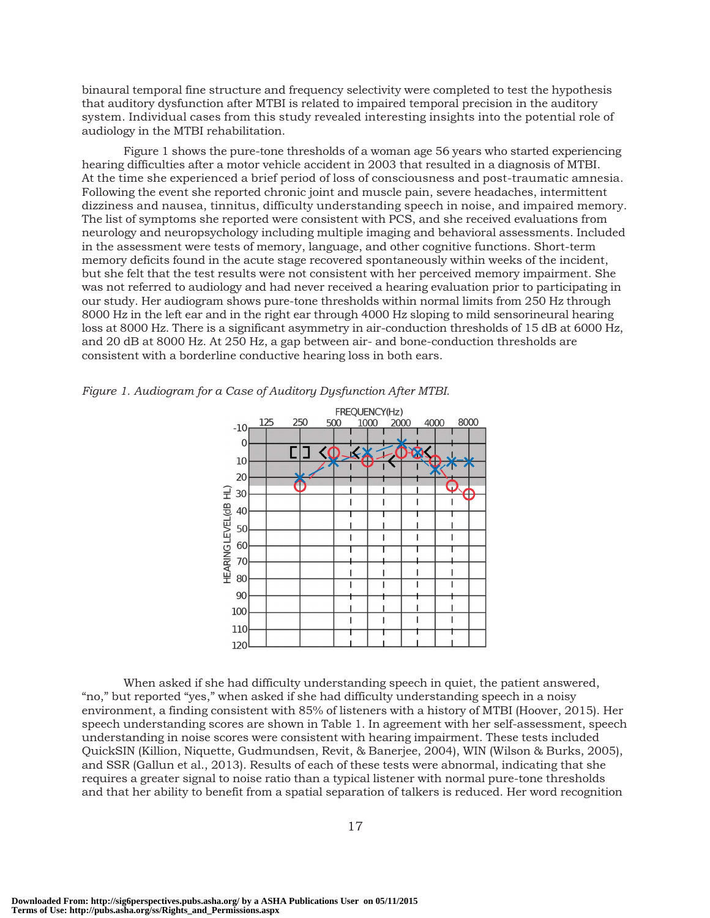binaural temporal fine structure and frequency selectivity were completed to test the hypothesis that auditory dysfunction after MTBI is related to impaired temporal precision in the auditory system. Individual cases from this study revealed interesting insights into the potential role of audiology in the MTBI rehabilitation.

Figure 1 shows the pure-tone thresholds of a woman age 56 years who started experiencing hearing difficulties after a motor vehicle accident in 2003 that resulted in a diagnosis of MTBI. At the time she experienced a brief period of loss of consciousness and post-traumatic amnesia. Following the event she reported chronic joint and muscle pain, severe headaches, intermittent dizziness and nausea, tinnitus, difficulty understanding speech in noise, and impaired memory. The list of symptoms she reported were consistent with PCS, and she received evaluations from neurology and neuropsychology including multiple imaging and behavioral assessments. Included in the assessment were tests of memory, language, and other cognitive functions. Short-term memory deficits found in the acute stage recovered spontaneously within weeks of the incident, but she felt that the test results were not consistent with her perceived memory impairment. She was not referred to audiology and had never received a hearing evaluation prior to participating in our study. Her audiogram shows pure-tone thresholds within normal limits from 250 Hz through 8000 Hz in the left ear and in the right ear through 4000 Hz sloping to mild sensorineural hearing loss at 8000 Hz. There is a significant asymmetry in air-conduction thresholds of 15 dB at 6000 Hz, and 20 dB at 8000 Hz. At 250 Hz, a gap between air- and bone-conduction thresholds are consistent with a borderline conductive hearing loss in both ears.



Figure 1. Audiogram for a Case of Auditory Dysfunction After MTBI.

When asked if she had difficulty understanding speech in quiet, the patient answered, "no," but reported "yes," when asked if she had difficulty understanding speech in a noisy environment, a finding consistent with 85% of listeners with a history of MTBI (Hoover, 2015). Her speech understanding scores are shown in Table 1. In agreement with her self-assessment, speech understanding in noise scores were consistent with hearing impairment. These tests included QuickSIN (Killion, Niquette, Gudmundsen, Revit, & Banerjee, 2004), WIN (Wilson & Burks, 2005), and SSR (Gallun et al., 2013). Results of each of these tests were abnormal, indicating that she requires a greater signal to noise ratio than a typical listener with normal pure-tone thresholds and that her ability to benefit from a spatial separation of talkers is reduced. Her word recognition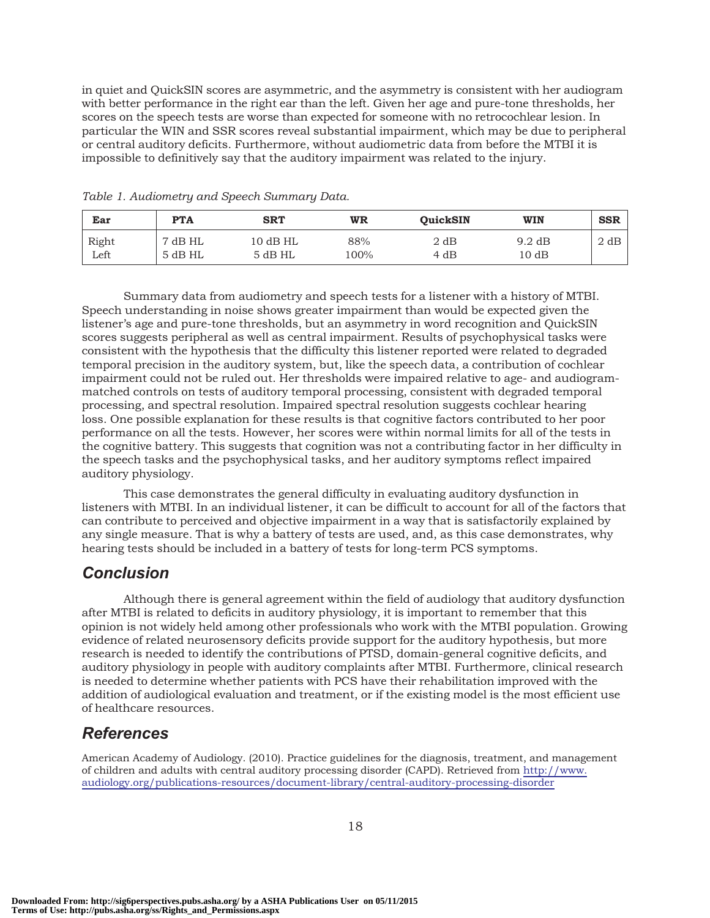in quiet and QuickSIN scores are asymmetric, and the asymmetry is consistent with her audiogram with better performance in the right ear than the left. Given her age and pure-tone thresholds, her scores on the speech tests are worse than expected for someone with no retrocochlear lesion. In particular the WIN and SSR scores reveal substantial impairment, which may be due to peripheral or central auditory deficits. Furthermore, without audiometric data from before the MTBI it is impossible to definitively say that the auditory impairment was related to the injury.

|               | $\tilde{\phantom{a}}$ | $\overline{\phantom{a}}$<br>ັ |             |                 |                           |            |
|---------------|-----------------------|-------------------------------|-------------|-----------------|---------------------------|------------|
| Ear           | <b>PTA</b>            | <b>SRT</b>                    | WR          | <b>OuickSIN</b> | WIN                       | <b>SSR</b> |
| Right<br>Left | 7 dB HL<br>$5$ dB HL  | 10 dB HL<br>$5$ dB HL         | 88%<br>100% | 2 dB<br>4 dB    | $9.2 \text{ dB}$<br>10 dB | 2 dB       |

Table 1. Audiometry and Speech Summary Data.

Summary data from audiometry and speech tests for a listener with a history of MTBI. Speech understanding in noise shows greater impairment than would be expected given the listener's age and pure-tone thresholds, but an asymmetry in word recognition and QuickSIN scores suggests peripheral as well as central impairment. Results of psychophysical tasks were consistent with the hypothesis that the difficulty this listener reported were related to degraded temporal precision in the auditory system, but, like the speech data, a contribution of cochlear impairment could not be ruled out. Her thresholds were impaired relative to age- and audiogrammatched controls on tests of auditory temporal processing, consistent with degraded temporal processing, and spectral resolution. Impaired spectral resolution suggests cochlear hearing loss. One possible explanation for these results is that cognitive factors contributed to her poor performance on all the tests. However, her scores were within normal limits for all of the tests in the cognitive battery. This suggests that cognition was not a contributing factor in her difficulty in the speech tasks and the psychophysical tasks, and her auditory symptoms reflect impaired auditory physiology.

This case demonstrates the general difficulty in evaluating auditory dysfunction in listeners with MTBI. In an individual listener, it can be difficult to account for all of the factors that can contribute to perceived and objective impairment in a way that is satisfactorily explained by any single measure. That is why a battery of tests are used, and, as this case demonstrates, why hearing tests should be included in a battery of tests for long-term PCS symptoms.

## **Conclusion**

Although there is general agreement within the field of audiology that auditory dysfunction after MTBI is related to deficits in auditory physiology, it is important to remember that this opinion is not widely held among other professionals who work with the MTBI population. Growing evidence of related neurosensory deficits provide support for the auditory hypothesis, but more research is needed to identify the contributions of PTSD, domain-general cognitive deficits, and auditory physiology in people with auditory complaints after MTBI. Furthermore, clinical research is needed to determine whether patients with PCS have their rehabilitation improved with the addition of audiological evaluation and treatment, or if the existing model is the most efficient use of healthcare resources.

## References

American Academy of Audiology. (2010). Practice guidelines for the diagnosis, treatment, and management of children and adults with central auditory processing disorder (CAPD). Retrieved from [http://www.](http://www.audiology.org/publications-resources/document-library/central-auditory-processing-disorder) [audiology.org/publications-resources/document-library/central-auditory-processing-disorder](http://www.audiology.org/publications-resources/document-library/central-auditory-processing-disorder)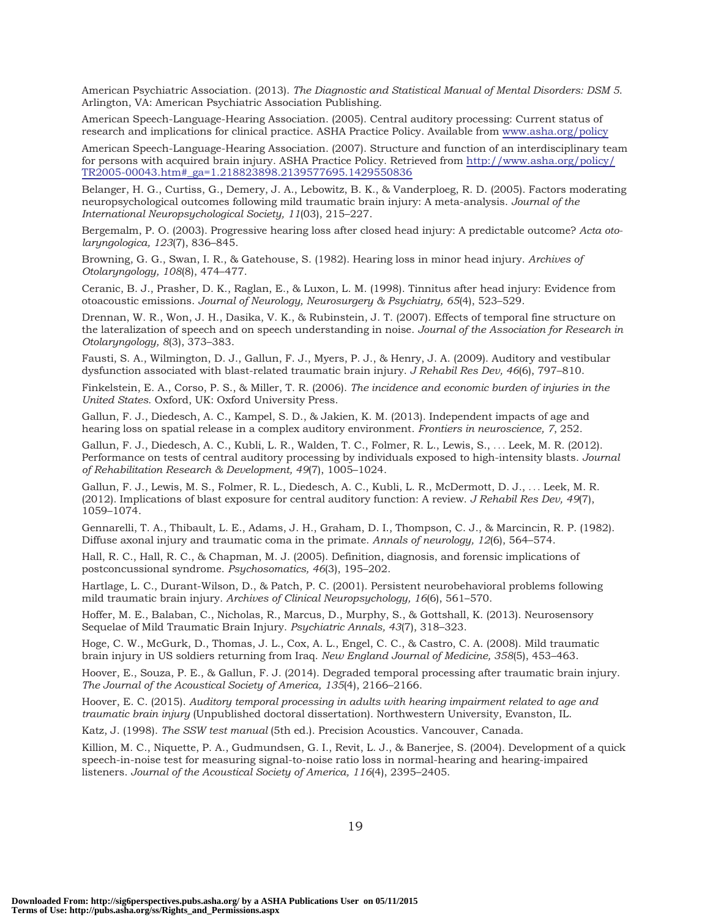American Psychiatric Association. (2013). The Diagnostic and Statistical Manual of Mental Disorders: DSM 5. Arlington, VA: American Psychiatric Association Publishing.

American Speech-Language-Hearing Association. (2005). Central auditory processing: Current status of research and implications for clinical practice. ASHA Practice Policy. Available from <www.asha.org/policy>

American Speech-Language-Hearing Association. (2007). Structure and function of an interdisciplinary team for persons with acquired brain injury. ASHA Practice Policy. Retrieved from [http://www.asha.org/policy/](http://www.asha.org/policy/TR2005-00043.htm#_ga=1.218823898.2139577695.1429550836) [TR2005-00043.htm#\\_ga=1.218823898.2139577695.1429550836](http://www.asha.org/policy/TR2005-00043.htm#_ga=1.218823898.2139577695.1429550836)

Belanger, H. G., Curtiss, G., Demery, J. A., Lebowitz, B. K., & Vanderploeg, R. D. (2005). Factors moderating neuropsychological outcomes following mild traumatic brain injury: A meta-analysis. Journal of the International Neuropsychological Society, 11(03), 215–227.

Bergemalm, P. O. (2003). Progressive hearing loss after closed head injury: A predictable outcome? Acta otolaryngologica, 123(7), 836–845.

Browning, G. G., Swan, I. R., & Gatehouse, S. (1982). Hearing loss in minor head injury. Archives of Otolaryngology, 108(8), 474–477.

Ceranic, B. J., Prasher, D. K., Raglan, E., & Luxon, L. M. (1998). Tinnitus after head injury: Evidence from otoacoustic emissions. Journal of Neurology, Neurosurgery & Psychiatry, 65(4), 523–529.

Drennan, W. R., Won, J. H., Dasika, V. K., & Rubinstein, J. T. (2007). Effects of temporal fine structure on the lateralization of speech and on speech understanding in noise. Journal of the Association for Research in Otolaryngology, 8(3), 373–383.

Fausti, S. A., Wilmington, D. J., Gallun, F. J., Myers, P. J., & Henry, J. A. (2009). Auditory and vestibular dysfunction associated with blast-related traumatic brain injury. J Rehabil Res Dev, 46(6), 797–810.

Finkelstein, E. A., Corso, P. S., & Miller, T. R. (2006). The incidence and economic burden of injuries in the United States. Oxford, UK: Oxford University Press.

Gallun, F. J., Diedesch, A. C., Kampel, S. D., & Jakien, K. M. (2013). Independent impacts of age and hearing loss on spatial release in a complex auditory environment. Frontiers in neuroscience, 7, 252.

Gallun, F. J., Diedesch, A. C., Kubli, L. R., Walden, T. C., Folmer, R. L., Lewis, S., ... Leek, M. R. (2012). Performance on tests of central auditory processing by individuals exposed to high-intensity blasts. Journal of Rehabilitation Research & Development, 49(7), 1005–1024.

Gallun, F. J., Lewis, M. S., Folmer, R. L., Diedesch, A. C., Kubli, L. R., McDermott, D. J., ... Leek, M. R. (2012). Implications of blast exposure for central auditory function: A review. J Rehabil Res Dev, 49(7), 1059–1074.

Gennarelli, T. A., Thibault, L. E., Adams, J. H., Graham, D. I., Thompson, C. J., & Marcincin, R. P. (1982). Diffuse axonal injury and traumatic coma in the primate. Annals of neurology, 12(6), 564–574.

Hall, R. C., Hall, R. C., & Chapman, M. J. (2005). Definition, diagnosis, and forensic implications of postconcussional syndrome. Psychosomatics, 46(3), 195–202.

Hartlage, L. C., Durant-Wilson, D., & Patch, P. C. (2001). Persistent neurobehavioral problems following mild traumatic brain injury. Archives of Clinical Neuropsychology, 16(6), 561–570.

Hoffer, M. E., Balaban, C., Nicholas, R., Marcus, D., Murphy, S., & Gottshall, K. (2013). Neurosensory Sequelae of Mild Traumatic Brain Injury. Psychiatric Annals, 43(7), 318–323.

Hoge, C. W., McGurk, D., Thomas, J. L., Cox, A. L., Engel, C. C., & Castro, C. A. (2008). Mild traumatic brain injury in US soldiers returning from Iraq. New England Journal of Medicine, 358(5), 453-463.

Hoover, E., Souza, P. E., & Gallun, F. J. (2014). Degraded temporal processing after traumatic brain injury. The Journal of the Acoustical Society of America, 135(4), 2166–2166.

Hoover, E. C. (2015). Auditory temporal processing in adults with hearing impairment related to age and traumatic brain injury (Unpublished doctoral dissertation). Northwestern University, Evanston, IL.

Katz, J. (1998). The SSW test manual (5th ed.). Precision Acoustics. Vancouver, Canada.

Killion, M. C., Niquette, P. A., Gudmundsen, G. I., Revit, L. J., & Banerjee, S. (2004). Development of a quick speech-in-noise test for measuring signal-to-noise ratio loss in normal-hearing and hearing-impaired listeners. Journal of the Acoustical Society of America, 116(4), 2395–2405.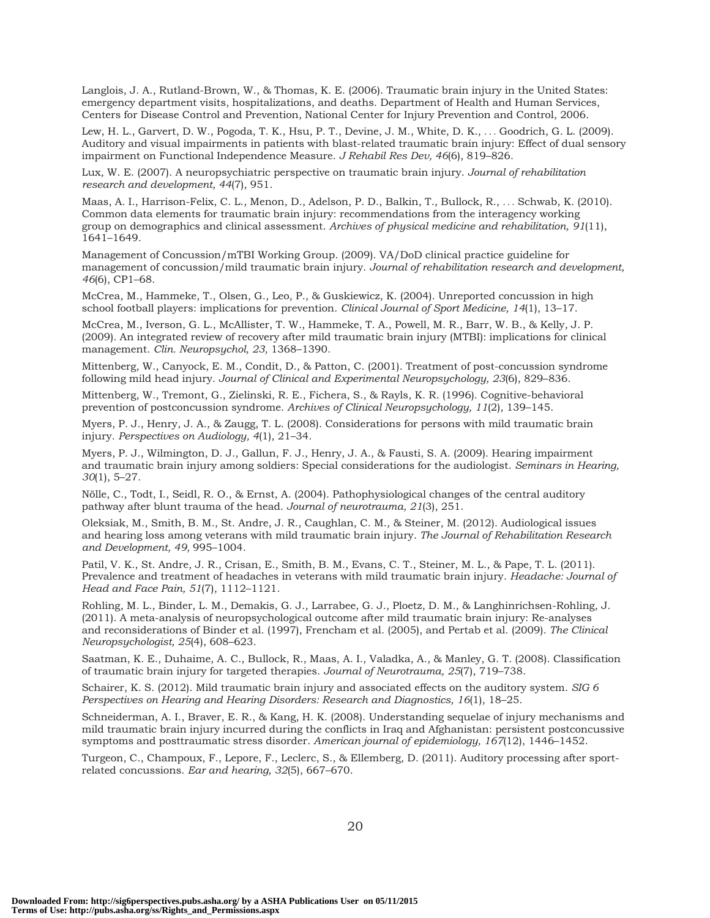Langlois, J. A., Rutland-Brown, W., & Thomas, K. E. (2006). Traumatic brain injury in the United States: emergency department visits, hospitalizations, and deaths. Department of Health and Human Services, Centers for Disease Control and Prevention, National Center for Injury Prevention and Control, 2006.

Lew, H. L., Garvert, D. W., Pogoda, T. K., Hsu, P. T., Devine, J. M., White, D. K., ... Goodrich, G. L. (2009). Auditory and visual impairments in patients with blast-related traumatic brain injury: Effect of dual sensory impairment on Functional Independence Measure. J Rehabil Res Dev, 46(6), 819–826.

Lux, W. E. (2007). A neuropsychiatric perspective on traumatic brain injury. Journal of rehabilitation research and development, 44(7), 951.

Maas, A. I., Harrison-Felix, C. L., Menon, D., Adelson, P. D., Balkin, T., Bullock, R., ... Schwab, K. (2010). Common data elements for traumatic brain injury: recommendations from the interagency working group on demographics and clinical assessment. Archives of physical medicine and rehabilitation, 91(11), 1641–1649.

Management of Concussion/mTBI Working Group. (2009). VA/DoD clinical practice guideline for management of concussion/mild traumatic brain injury. Journal of rehabilitation research and development, 46(6), CP1–68.

McCrea, M., Hammeke, T., Olsen, G., Leo, P., & Guskiewicz, K. (2004). Unreported concussion in high school football players: implications for prevention. Clinical Journal of Sport Medicine, 14(1), 13–17.

McCrea, M., Iverson, G. L., McAllister, T. W., Hammeke, T. A., Powell, M. R., Barr, W. B., & Kelly, J. P. (2009). An integrated review of recovery after mild traumatic brain injury (MTBI): implications for clinical management. Clin. Neuropsychol, 23, 1368–1390.

Mittenberg, W., Canyock, E. M., Condit, D., & Patton, C. (2001). Treatment of post-concussion syndrome following mild head injury. Journal of Clinical and Experimental Neuropsychology, 23(6), 829–836.

Mittenberg, W., Tremont, G., Zielinski, R. E., Fichera, S., & Rayls, K. R. (1996). Cognitive-behavioral prevention of postconcussion syndrome. Archives of Clinical Neuropsychology, 11(2), 139–145.

Myers, P. J., Henry, J. A., & Zaugg, T. L. (2008). Considerations for persons with mild traumatic brain injury. Perspectives on Audiology, 4(1), 21–34.

Myers, P. J., Wilmington, D. J., Gallun, F. J., Henry, J. A., & Fausti, S. A. (2009). Hearing impairment and traumatic brain injury among soldiers: Special considerations for the audiologist. Seminars in Hearing, 30(1), 5–27.

Nölle, C., Todt, I., Seidl, R. O., & Ernst, A. (2004). Pathophysiological changes of the central auditory pathway after blunt trauma of the head. Journal of neurotrauma, 21(3), 251.

Oleksiak, M., Smith, B. M., St. Andre, J. R., Caughlan, C. M., & Steiner, M. (2012). Audiological issues and hearing loss among veterans with mild traumatic brain injury. The Journal of Rehabilitation Research and Development, 49, 995–1004.

Patil, V. K., St. Andre, J. R., Crisan, E., Smith, B. M., Evans, C. T., Steiner, M. L., & Pape, T. L. (2011). Prevalence and treatment of headaches in veterans with mild traumatic brain injury. Headache: Journal of Head and Face Pain, 51(7), 1112–1121.

Rohling, M. L., Binder, L. M., Demakis, G. J., Larrabee, G. J., Ploetz, D. M., & Langhinrichsen-Rohling, J. (2011). A meta-analysis of neuropsychological outcome after mild traumatic brain injury: Re-analyses and reconsiderations of Binder et al. (1997), Frencham et al. (2005), and Pertab et al. (2009). The Clinical Neuropsychologist, 25(4), 608–623.

Saatman, K. E., Duhaime, A. C., Bullock, R., Maas, A. I., Valadka, A., & Manley, G. T. (2008). Classification of traumatic brain injury for targeted therapies. Journal of Neurotrauma, 25(7), 719–738.

Schairer, K. S. (2012). Mild traumatic brain injury and associated effects on the auditory system. SIG 6 Perspectives on Hearing and Hearing Disorders: Research and Diagnostics, 16(1), 18–25.

Schneiderman, A. I., Braver, E. R., & Kang, H. K. (2008). Understanding sequelae of injury mechanisms and mild traumatic brain injury incurred during the conflicts in Iraq and Afghanistan: persistent postconcussive symptoms and posttraumatic stress disorder. American journal of epidemiology, 167(12), 1446-1452.

Turgeon, C., Champoux, F., Lepore, F., Leclerc, S., & Ellemberg, D. (2011). Auditory processing after sportrelated concussions. Ear and hearing, 32(5), 667–670.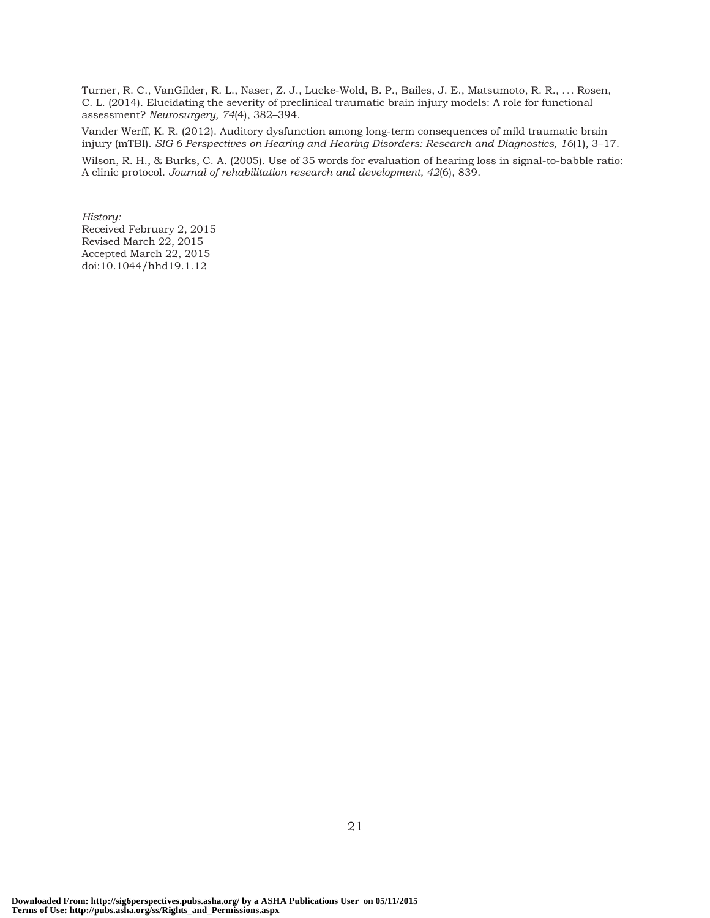Turner, R. C., VanGilder, R. L., Naser, Z. J., Lucke-Wold, B. P., Bailes, J. E., Matsumoto, R. R., ... Rosen, C. L. (2014). Elucidating the severity of preclinical traumatic brain injury models: A role for functional assessment? Neurosurgery, 74(4), 382–394.

Vander Werff, K. R. (2012). Auditory dysfunction among long-term consequences of mild traumatic brain injury (mTBI). SIG 6 Perspectives on Hearing and Hearing Disorders: Research and Diagnostics, 16(1), 3–17.

Wilson, R. H., & Burks, C. A. (2005). Use of 35 words for evaluation of hearing loss in signal-to-babble ratio: A clinic protocol. Journal of rehabilitation research and development, 42(6), 839.

History: Received February 2, 2015 Revised March 22, 2015 Accepted March 22, 2015 doi:10.1044/hhd19.1.12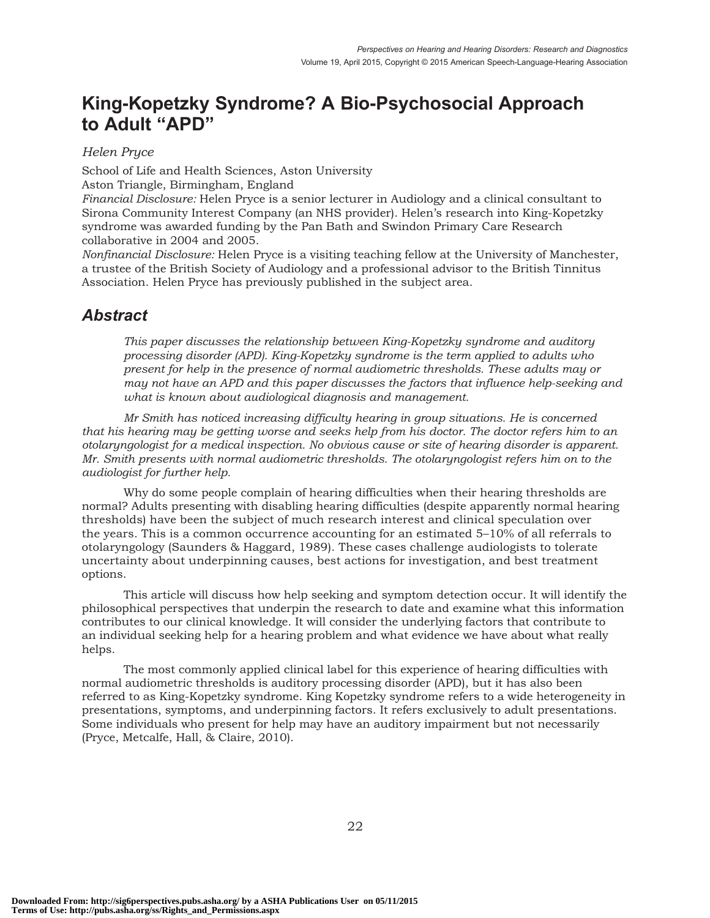# King-Kopetzky Syndrome? A Bio-Psychosocial Approach to Adult "APD"

#### Helen Pryce

School of Life and Health Sciences, Aston University Aston Triangle, Birmingham, England

Financial Disclosure: Helen Pryce is a senior lecturer in Audiology and a clinical consultant to Sirona Community Interest Company (an NHS provider). Helen's research into King-Kopetzky syndrome was awarded funding by the Pan Bath and Swindon Primary Care Research collaborative in 2004 and 2005.

Nonfinancial Disclosure: Helen Pryce is a visiting teaching fellow at the University of Manchester, a trustee of the British Society of Audiology and a professional advisor to the British Tinnitus Association. Helen Pryce has previously published in the subject area.

## **Abstract**

This paper discusses the relationship between King-Kopetzky syndrome and auditory processing disorder (APD). King-Kopetzky syndrome is the term applied to adults who present for help in the presence of normal audiometric thresholds. These adults may or may not have an APD and this paper discusses the factors that influence help-seeking and what is known about audiological diagnosis and management.

Mr Smith has noticed increasing difficulty hearing in group situations. He is concerned that his hearing may be getting worse and seeks help from his doctor. The doctor refers him to an otolaryngologist for a medical inspection. No obvious cause or site of hearing disorder is apparent. Mr. Smith presents with normal audiometric thresholds. The otolaryngologist refers him on to the audiologist for further help.

Why do some people complain of hearing difficulties when their hearing thresholds are normal? Adults presenting with disabling hearing difficulties (despite apparently normal hearing thresholds) have been the subject of much research interest and clinical speculation over the years. This is a common occurrence accounting for an estimated 5–10% of all referrals to otolaryngology (Saunders & Haggard, 1989). These cases challenge audiologists to tolerate uncertainty about underpinning causes, best actions for investigation, and best treatment options.

This article will discuss how help seeking and symptom detection occur. It will identify the philosophical perspectives that underpin the research to date and examine what this information contributes to our clinical knowledge. It will consider the underlying factors that contribute to an individual seeking help for a hearing problem and what evidence we have about what really helps.

The most commonly applied clinical label for this experience of hearing difficulties with normal audiometric thresholds is auditory processing disorder (APD), but it has also been referred to as King-Kopetzky syndrome. King Kopetzky syndrome refers to a wide heterogeneity in presentations, symptoms, and underpinning factors. It refers exclusively to adult presentations. Some individuals who present for help may have an auditory impairment but not necessarily (Pryce, Metcalfe, Hall, & Claire, 2010).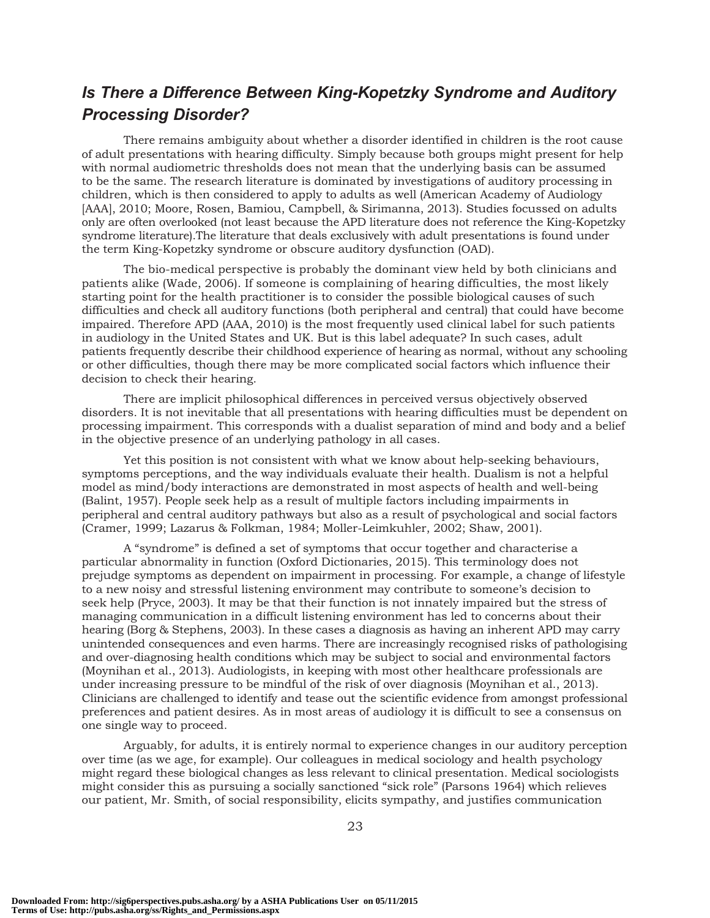## Is There a Difference Between King-Kopetzky Syndrome and Auditory Processing Disorder?

There remains ambiguity about whether a disorder identified in children is the root cause of adult presentations with hearing difficulty. Simply because both groups might present for help with normal audiometric thresholds does not mean that the underlying basis can be assumed to be the same. The research literature is dominated by investigations of auditory processing in children, which is then considered to apply to adults as well (American Academy of Audiology [AAA], 2010; Moore, Rosen, Bamiou, Campbell, & Sirimanna, 2013). Studies focussed on adults only are often overlooked (not least because the APD literature does not reference the King-Kopetzky syndrome literature).The literature that deals exclusively with adult presentations is found under the term King-Kopetzky syndrome or obscure auditory dysfunction (OAD).

The bio-medical perspective is probably the dominant view held by both clinicians and patients alike (Wade, 2006). If someone is complaining of hearing difficulties, the most likely starting point for the health practitioner is to consider the possible biological causes of such difficulties and check all auditory functions (both peripheral and central) that could have become impaired. Therefore APD (AAA, 2010) is the most frequently used clinical label for such patients in audiology in the United States and UK. But is this label adequate? In such cases, adult patients frequently describe their childhood experience of hearing as normal, without any schooling or other difficulties, though there may be more complicated social factors which influence their decision to check their hearing.

There are implicit philosophical differences in perceived versus objectively observed disorders. It is not inevitable that all presentations with hearing difficulties must be dependent on processing impairment. This corresponds with a dualist separation of mind and body and a belief in the objective presence of an underlying pathology in all cases.

Yet this position is not consistent with what we know about help-seeking behaviours, symptoms perceptions, and the way individuals evaluate their health. Dualism is not a helpful model as mind/body interactions are demonstrated in most aspects of health and well-being (Balint, 1957). People seek help as a result of multiple factors including impairments in peripheral and central auditory pathways but also as a result of psychological and social factors (Cramer, 1999; Lazarus & Folkman, 1984; Moller-Leimkuhler, 2002; Shaw, 2001).

A "syndrome" is defined a set of symptoms that occur together and characterise a particular abnormality in function (Oxford Dictionaries, 2015). This terminology does not prejudge symptoms as dependent on impairment in processing. For example, a change of lifestyle to a new noisy and stressful listening environment may contribute to someone's decision to seek help (Pryce, 2003). It may be that their function is not innately impaired but the stress of managing communication in a difficult listening environment has led to concerns about their hearing (Borg & Stephens, 2003). In these cases a diagnosis as having an inherent APD may carry unintended consequences and even harms. There are increasingly recognised risks of pathologising and over-diagnosing health conditions which may be subject to social and environmental factors (Moynihan et al., 2013). Audiologists, in keeping with most other healthcare professionals are under increasing pressure to be mindful of the risk of over diagnosis (Moynihan et al., 2013). Clinicians are challenged to identify and tease out the scientific evidence from amongst professional preferences and patient desires. As in most areas of audiology it is difficult to see a consensus on one single way to proceed.

Arguably, for adults, it is entirely normal to experience changes in our auditory perception over time (as we age, for example). Our colleagues in medical sociology and health psychology might regard these biological changes as less relevant to clinical presentation. Medical sociologists might consider this as pursuing a socially sanctioned "sick role" (Parsons 1964) which relieves our patient, Mr. Smith, of social responsibility, elicits sympathy, and justifies communication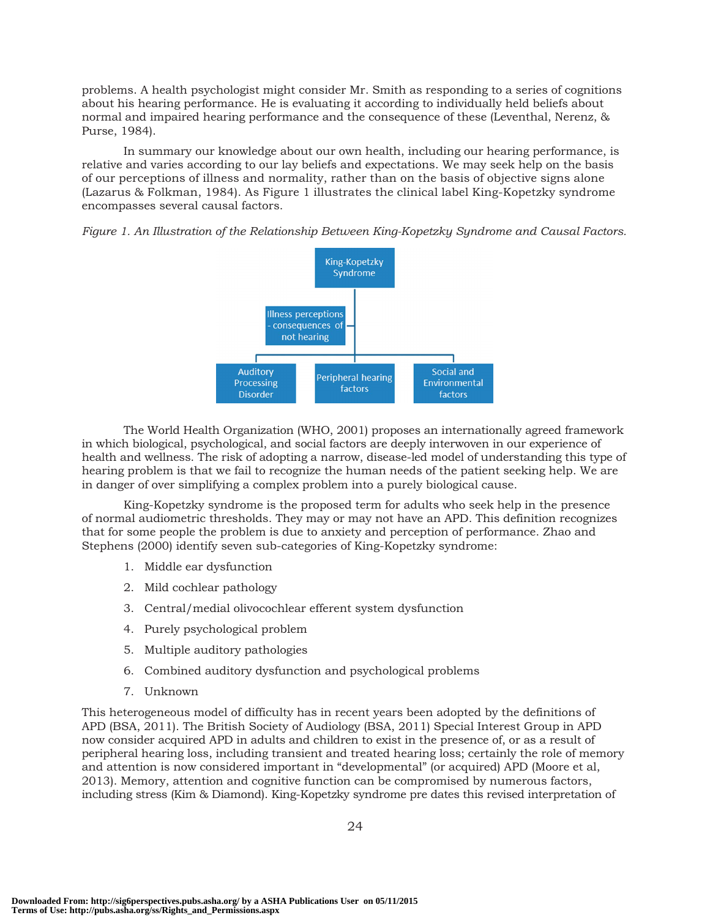problems. A health psychologist might consider Mr. Smith as responding to a series of cognitions about his hearing performance. He is evaluating it according to individually held beliefs about normal and impaired hearing performance and the consequence of these (Leventhal, Nerenz, & Purse, 1984).

In summary our knowledge about our own health, including our hearing performance, is relative and varies according to our lay beliefs and expectations. We may seek help on the basis of our perceptions of illness and normality, rather than on the basis of objective signs alone (Lazarus & Folkman, 1984). As Figure 1 illustrates the clinical label King-Kopetzky syndrome encompasses several causal factors.



Figure 1. An Illustration of the Relationship Between King-Kopetzky Syndrome and Causal Factors.

The World Health Organization (WHO, 2001) proposes an internationally agreed framework in which biological, psychological, and social factors are deeply interwoven in our experience of health and wellness. The risk of adopting a narrow, disease-led model of understanding this type of hearing problem is that we fail to recognize the human needs of the patient seeking help. We are in danger of over simplifying a complex problem into a purely biological cause.

King-Kopetzky syndrome is the proposed term for adults who seek help in the presence of normal audiometric thresholds. They may or may not have an APD. This definition recognizes that for some people the problem is due to anxiety and perception of performance. Zhao and Stephens (2000) identify seven sub-categories of King-Kopetzky syndrome:

- 1. Middle ear dysfunction
- 2. Mild cochlear pathology
- 3. Central/medial olivocochlear efferent system dysfunction
- 4. Purely psychological problem
- 5. Multiple auditory pathologies
- 6. Combined auditory dysfunction and psychological problems
- 7. Unknown

This heterogeneous model of difficulty has in recent years been adopted by the definitions of APD (BSA, 2011). The British Society of Audiology (BSA, 2011) Special Interest Group in APD now consider acquired APD in adults and children to exist in the presence of, or as a result of peripheral hearing loss, including transient and treated hearing loss; certainly the role of memory and attention is now considered important in "developmental" (or acquired) APD (Moore et al, 2013). Memory, attention and cognitive function can be compromised by numerous factors, including stress (Kim & Diamond). King-Kopetzky syndrome pre dates this revised interpretation of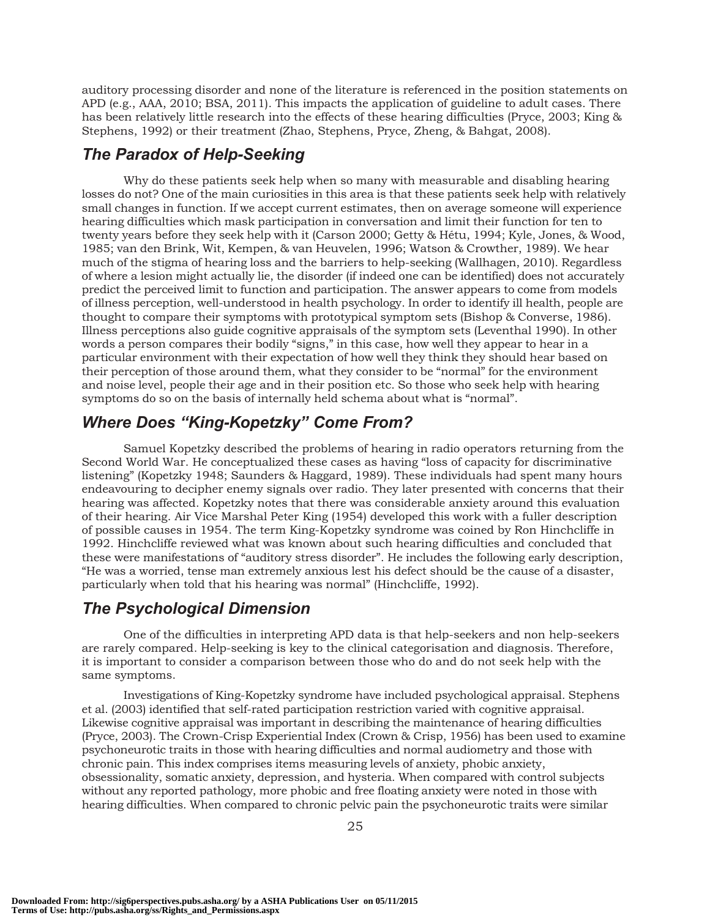auditory processing disorder and none of the literature is referenced in the position statements on APD (e.g., AAA, 2010; BSA, 2011). This impacts the application of guideline to adult cases. There has been relatively little research into the effects of these hearing difficulties (Pryce, 2003; King & Stephens, 1992) or their treatment (Zhao, Stephens, Pryce, Zheng, & Bahgat, 2008).

## The Paradox of Help-Seeking

Why do these patients seek help when so many with measurable and disabling hearing losses do not? One of the main curiosities in this area is that these patients seek help with relatively small changes in function. If we accept current estimates, then on average someone will experience hearing difficulties which mask participation in conversation and limit their function for ten to twenty years before they seek help with it (Carson 2000; Getty & Hétu, 1994; Kyle, Jones, & Wood, 1985; van den Brink, Wit, Kempen, & van Heuvelen, 1996; Watson & Crowther, 1989). We hear much of the stigma of hearing loss and the barriers to help-seeking (Wallhagen, 2010). Regardless of where a lesion might actually lie, the disorder (if indeed one can be identified) does not accurately predict the perceived limit to function and participation. The answer appears to come from models of illness perception, well-understood in health psychology. In order to identify ill health, people are thought to compare their symptoms with prototypical symptom sets (Bishop & Converse, 1986). Illness perceptions also guide cognitive appraisals of the symptom sets (Leventhal 1990). In other words a person compares their bodily "signs," in this case, how well they appear to hear in a particular environment with their expectation of how well they think they should hear based on their perception of those around them, what they consider to be "normal" for the environment and noise level, people their age and in their position etc. So those who seek help with hearing symptoms do so on the basis of internally held schema about what is "normal".

## Where Does "King-Kopetzky" Come From?

Samuel Kopetzky described the problems of hearing in radio operators returning from the Second World War. He conceptualized these cases as having "loss of capacity for discriminative listening" (Kopetzky 1948; Saunders & Haggard, 1989). These individuals had spent many hours endeavouring to decipher enemy signals over radio. They later presented with concerns that their hearing was affected. Kopetzky notes that there was considerable anxiety around this evaluation of their hearing. Air Vice Marshal Peter King (1954) developed this work with a fuller description of possible causes in 1954. The term King-Kopetzky syndrome was coined by Ron Hinchcliffe in 1992. Hinchcliffe reviewed what was known about such hearing difficulties and concluded that these were manifestations of "auditory stress disorder". He includes the following early description, "He was a worried, tense man extremely anxious lest his defect should be the cause of a disaster, particularly when told that his hearing was normal" (Hinchcliffe, 1992).

## The Psychological Dimension

One of the difficulties in interpreting APD data is that help-seekers and non help-seekers are rarely compared. Help-seeking is key to the clinical categorisation and diagnosis. Therefore, it is important to consider a comparison between those who do and do not seek help with the same symptoms.

Investigations of King-Kopetzky syndrome have included psychological appraisal. Stephens et al. (2003) identified that self-rated participation restriction varied with cognitive appraisal. Likewise cognitive appraisal was important in describing the maintenance of hearing difficulties (Pryce, 2003). The Crown-Crisp Experiential Index (Crown & Crisp, 1956) has been used to examine psychoneurotic traits in those with hearing difficulties and normal audiometry and those with chronic pain. This index comprises items measuring levels of anxiety, phobic anxiety, obsessionality, somatic anxiety, depression, and hysteria. When compared with control subjects without any reported pathology, more phobic and free floating anxiety were noted in those with hearing difficulties. When compared to chronic pelvic pain the psychoneurotic traits were similar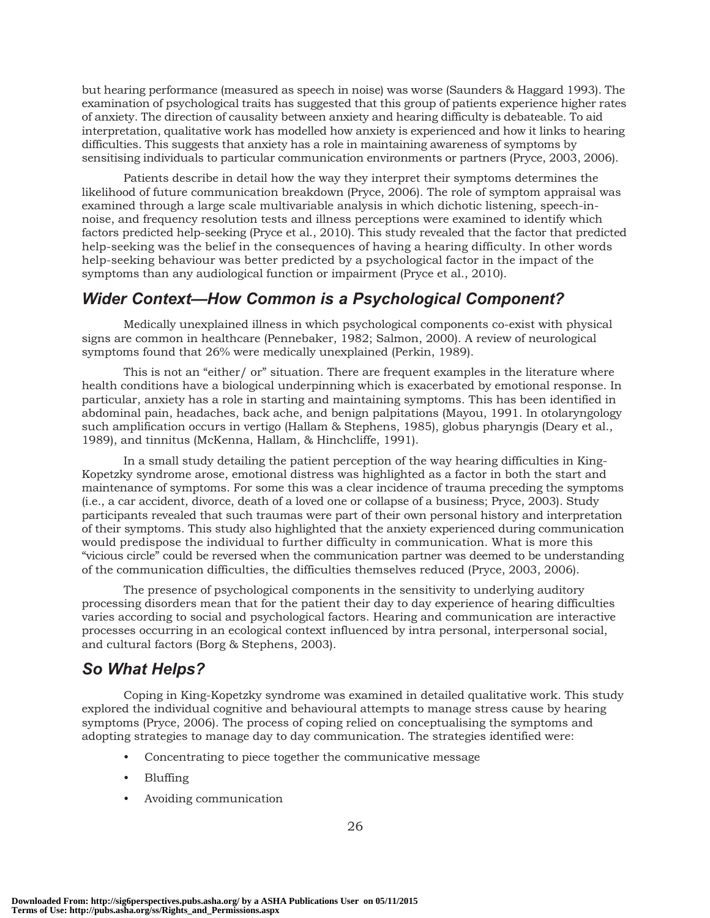but hearing performance (measured as speech in noise) was worse (Saunders & Haggard 1993). The examination of psychological traits has suggested that this group of patients experience higher rates of anxiety. The direction of causality between anxiety and hearing difficulty is debateable. To aid interpretation, qualitative work has modelled how anxiety is experienced and how it links to hearing difficulties. This suggests that anxiety has a role in maintaining awareness of symptoms by sensitising individuals to particular communication environments or partners (Pryce, 2003, 2006).

Patients describe in detail how the way they interpret their symptoms determines the likelihood of future communication breakdown (Pryce, 2006). The role of symptom appraisal was examined through a large scale multivariable analysis in which dichotic listening, speech-innoise, and frequency resolution tests and illness perceptions were examined to identify which factors predicted help-seeking (Pryce et al., 2010). This study revealed that the factor that predicted help-seeking was the belief in the consequences of having a hearing difficulty. In other words help-seeking behaviour was better predicted by a psychological factor in the impact of the symptoms than any audiological function or impairment (Pryce et al., 2010).

## Wider Context—How Common is a Psychological Component?

Medically unexplained illness in which psychological components co-exist with physical signs are common in healthcare (Pennebaker, 1982; Salmon, 2000). A review of neurological symptoms found that 26% were medically unexplained (Perkin, 1989).

This is not an "either/ or" situation. There are frequent examples in the literature where health conditions have a biological underpinning which is exacerbated by emotional response. In particular, anxiety has a role in starting and maintaining symptoms. This has been identified in abdominal pain, headaches, back ache, and benign palpitations (Mayou, 1991. In otolaryngology such amplification occurs in vertigo (Hallam & Stephens, 1985), globus pharyngis (Deary et al., 1989), and tinnitus (McKenna, Hallam, & Hinchcliffe, 1991).

In a small study detailing the patient perception of the way hearing difficulties in King-Kopetzky syndrome arose, emotional distress was highlighted as a factor in both the start and maintenance of symptoms. For some this was a clear incidence of trauma preceding the symptoms (i.e., a car accident, divorce, death of a loved one or collapse of a business; Pryce, 2003). Study participants revealed that such traumas were part of their own personal history and interpretation of their symptoms. This study also highlighted that the anxiety experienced during communication would predispose the individual to further difficulty in communication. What is more this "vicious circle" could be reversed when the communication partner was deemed to be understanding of the communication difficulties, the difficulties themselves reduced (Pryce, 2003, 2006).

The presence of psychological components in the sensitivity to underlying auditory processing disorders mean that for the patient their day to day experience of hearing difficulties varies according to social and psychological factors. Hearing and communication are interactive processes occurring in an ecological context influenced by intra personal, interpersonal social, and cultural factors (Borg & Stephens, 2003).

## So What Helps?

Coping in King-Kopetzky syndrome was examined in detailed qualitative work. This study explored the individual cognitive and behavioural attempts to manage stress cause by hearing symptoms (Pryce, 2006). The process of coping relied on conceptualising the symptoms and adopting strategies to manage day to day communication. The strategies identified were:

- Concentrating to piece together the communicative message
- Bluffing
- Avoiding communication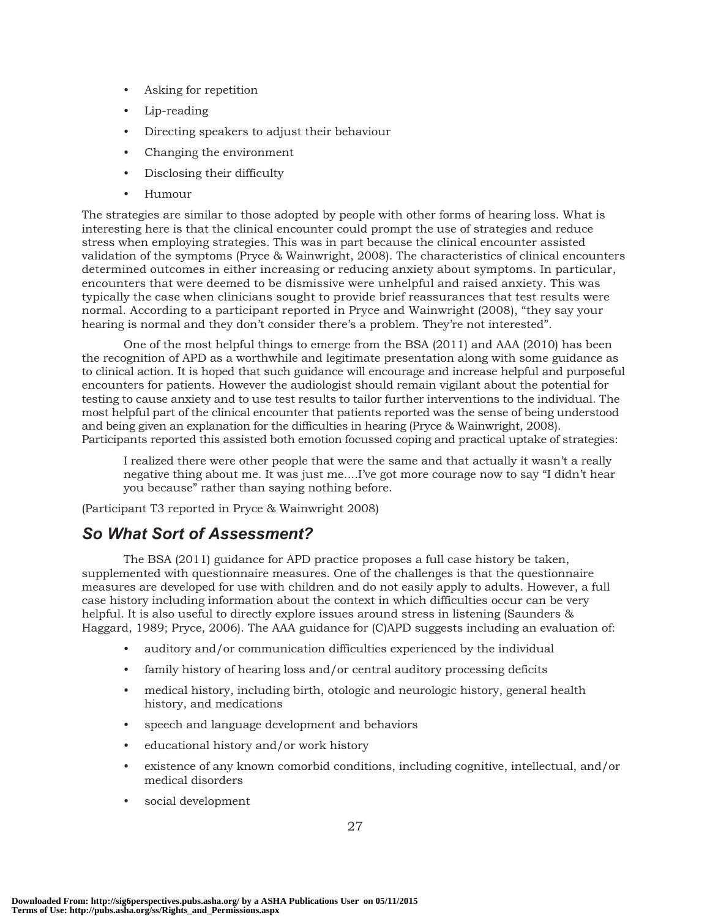- Asking for repetition
- Lip-reading
- Directing speakers to adjust their behaviour
- Changing the environment
- Disclosing their difficulty
- Humour

The strategies are similar to those adopted by people with other forms of hearing loss. What is interesting here is that the clinical encounter could prompt the use of strategies and reduce stress when employing strategies. This was in part because the clinical encounter assisted validation of the symptoms (Pryce & Wainwright, 2008). The characteristics of clinical encounters determined outcomes in either increasing or reducing anxiety about symptoms. In particular, encounters that were deemed to be dismissive were unhelpful and raised anxiety. This was typically the case when clinicians sought to provide brief reassurances that test results were normal. According to a participant reported in Pryce and Wainwright (2008), "they say your hearing is normal and they don't consider there's a problem. They're not interested".

One of the most helpful things to emerge from the BSA (2011) and AAA (2010) has been the recognition of APD as a worthwhile and legitimate presentation along with some guidance as to clinical action. It is hoped that such guidance will encourage and increase helpful and purposeful encounters for patients. However the audiologist should remain vigilant about the potential for testing to cause anxiety and to use test results to tailor further interventions to the individual. The most helpful part of the clinical encounter that patients reported was the sense of being understood and being given an explanation for the difficulties in hearing (Pryce & Wainwright, 2008). Participants reported this assisted both emotion focussed coping and practical uptake of strategies:

I realized there were other people that were the same and that actually it wasn't a really negative thing about me. It was just me....I've got more courage now to say "I didn't hear you because" rather than saying nothing before.

(Participant T3 reported in Pryce & Wainwright 2008)

### So What Sort of Assessment?

The BSA (2011) guidance for APD practice proposes a full case history be taken, supplemented with questionnaire measures. One of the challenges is that the questionnaire measures are developed for use with children and do not easily apply to adults. However, a full case history including information about the context in which difficulties occur can be very helpful. It is also useful to directly explore issues around stress in listening (Saunders & Haggard, 1989; Pryce, 2006). The AAA guidance for (C)APD suggests including an evaluation of:

- auditory and/or communication difficulties experienced by the individual
- family history of hearing loss and/or central auditory processing deficits
- medical history, including birth, otologic and neurologic history, general health history, and medications
- speech and language development and behaviors
- educational history and/or work history
- existence of any known comorbid conditions, including cognitive, intellectual, and/or medical disorders
- social development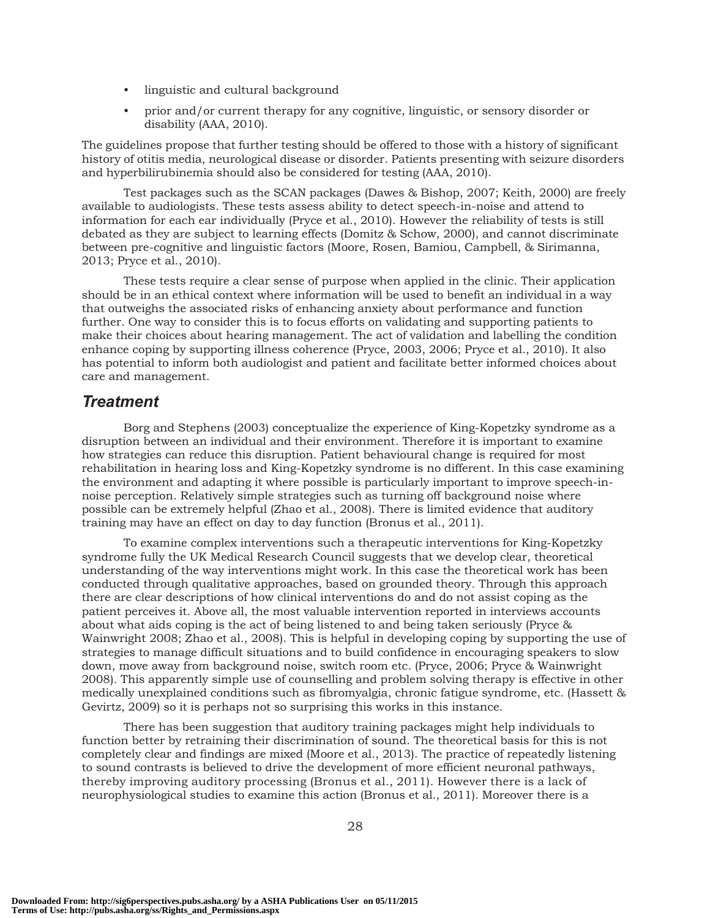- linguistic and cultural background
- prior and/or current therapy for any cognitive, linguistic, or sensory disorder or disability (AAA, 2010).

The guidelines propose that further testing should be offered to those with a history of significant history of otitis media, neurological disease or disorder. Patients presenting with seizure disorders and hyperbilirubinemia should also be considered for testing (AAA, 2010).

Test packages such as the SCAN packages (Dawes & Bishop, 2007; Keith, 2000) are freely available to audiologists. These tests assess ability to detect speech-in-noise and attend to information for each ear individually (Pryce et al., 2010). However the reliability of tests is still debated as they are subject to learning effects (Domitz & Schow, 2000), and cannot discriminate between pre-cognitive and linguistic factors (Moore, Rosen, Bamiou, Campbell, & Sirimanna, 2013; Pryce et al., 2010).

These tests require a clear sense of purpose when applied in the clinic. Their application should be in an ethical context where information will be used to benefit an individual in a way that outweighs the associated risks of enhancing anxiety about performance and function further. One way to consider this is to focus efforts on validating and supporting patients to make their choices about hearing management. The act of validation and labelling the condition enhance coping by supporting illness coherence (Pryce, 2003, 2006; Pryce et al., 2010). It also has potential to inform both audiologist and patient and facilitate better informed choices about care and management.

### **Treatment**

Borg and Stephens (2003) conceptualize the experience of King-Kopetzky syndrome as a disruption between an individual and their environment. Therefore it is important to examine how strategies can reduce this disruption. Patient behavioural change is required for most rehabilitation in hearing loss and King-Kopetzky syndrome is no different. In this case examining the environment and adapting it where possible is particularly important to improve speech-innoise perception. Relatively simple strategies such as turning off background noise where possible can be extremely helpful (Zhao et al., 2008). There is limited evidence that auditory training may have an effect on day to day function (Bronus et al., 2011).

To examine complex interventions such a therapeutic interventions for King-Kopetzky syndrome fully the UK Medical Research Council suggests that we develop clear, theoretical understanding of the way interventions might work. In this case the theoretical work has been conducted through qualitative approaches, based on grounded theory. Through this approach there are clear descriptions of how clinical interventions do and do not assist coping as the patient perceives it. Above all, the most valuable intervention reported in interviews accounts about what aids coping is the act of being listened to and being taken seriously (Pryce & Wainwright 2008; Zhao et al., 2008). This is helpful in developing coping by supporting the use of strategies to manage difficult situations and to build confidence in encouraging speakers to slow down, move away from background noise, switch room etc. (Pryce, 2006; Pryce & Wainwright 2008). This apparently simple use of counselling and problem solving therapy is effective in other medically unexplained conditions such as fibromyalgia, chronic fatigue syndrome, etc. (Hassett & Gevirtz, 2009) so it is perhaps not so surprising this works in this instance.

There has been suggestion that auditory training packages might help individuals to function better by retraining their discrimination of sound. The theoretical basis for this is not completely clear and findings are mixed (Moore et al., 2013). The practice of repeatedly listening to sound contrasts is believed to drive the development of more efficient neuronal pathways, thereby improving auditory processing (Bronus et al., 2011). However there is a lack of neurophysiological studies to examine this action (Bronus et al., 2011). Moreover there is a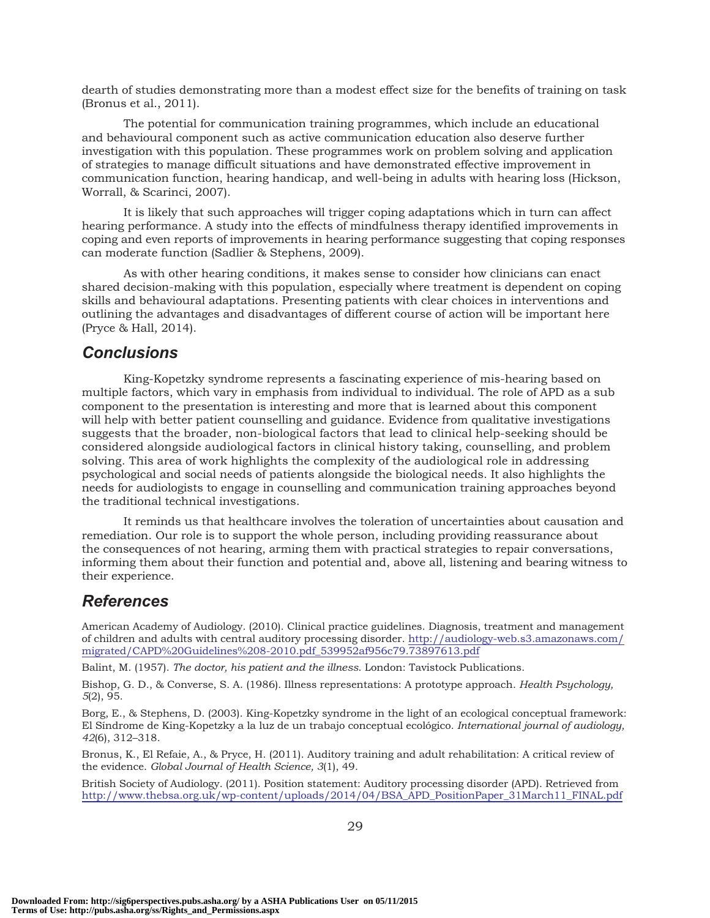dearth of studies demonstrating more than a modest effect size for the benefits of training on task (Bronus et al., 2011).

The potential for communication training programmes, which include an educational and behavioural component such as active communication education also deserve further investigation with this population. These programmes work on problem solving and application of strategies to manage difficult situations and have demonstrated effective improvement in communication function, hearing handicap, and well-being in adults with hearing loss (Hickson, Worrall, & Scarinci, 2007).

It is likely that such approaches will trigger coping adaptations which in turn can affect hearing performance. A study into the effects of mindfulness therapy identified improvements in coping and even reports of improvements in hearing performance suggesting that coping responses can moderate function (Sadlier & Stephens, 2009).

As with other hearing conditions, it makes sense to consider how clinicians can enact shared decision-making with this population, especially where treatment is dependent on coping skills and behavioural adaptations. Presenting patients with clear choices in interventions and outlining the advantages and disadvantages of different course of action will be important here (Pryce & Hall, 2014).

### **Conclusions**

King-Kopetzky syndrome represents a fascinating experience of mis-hearing based on multiple factors, which vary in emphasis from individual to individual. The role of APD as a sub component to the presentation is interesting and more that is learned about this component will help with better patient counselling and guidance. Evidence from qualitative investigations suggests that the broader, non-biological factors that lead to clinical help-seeking should be considered alongside audiological factors in clinical history taking, counselling, and problem solving. This area of work highlights the complexity of the audiological role in addressing psychological and social needs of patients alongside the biological needs. It also highlights the needs for audiologists to engage in counselling and communication training approaches beyond the traditional technical investigations.

It reminds us that healthcare involves the toleration of uncertainties about causation and remediation. Our role is to support the whole person, including providing reassurance about the consequences of not hearing, arming them with practical strategies to repair conversations, informing them about their function and potential and, above all, listening and bearing witness to their experience.

## **References**

American Academy of Audiology. (2010). Clinical practice guidelines. Diagnosis, treatment and management of children and adults with central auditory processing disorder. [http://audiology-web.s3.amazonaws.com/](http://audiology-web.s3.amazonaws.com/migrated/CAPD%20Guidelines%208-2010.pdf_539952af956c79.73897613.pdf) [migrated/CAPD%20Guidelines%208-2010.pdf\\_539952af956c79.73897613.pdf](http://audiology-web.s3.amazonaws.com/migrated/CAPD%20Guidelines%208-2010.pdf_539952af956c79.73897613.pdf)

Balint, M. (1957). The doctor, his patient and the illness. London: Tavistock Publications.

Bishop, G. D., & Converse, S. A. (1986). Illness representations: A prototype approach. Health Psychology, 5(2), 95.

Borg, E., & Stephens, D. (2003). King-Kopetzky syndrome in the light of an ecological conceptual framework: El Síndrome de King-Kopetzky a la luz de un trabajo conceptual ecológico. International journal of audiology, 42(6), 312–318.

Bronus, K., El Refaie, A., & Pryce, H. (2011). Auditory training and adult rehabilitation: A critical review of the evidence. Global Journal of Health Science, 3(1), 49.

British Society of Audiology. (2011). Position statement: Auditory processing disorder (APD). Retrieved from [http://www.thebsa.org.uk/wp-content/uploads/2014/04/BSA\\_APD\\_PositionPaper\\_31March11\\_FINAL.pdf](http://www.thebsa.org.uk/wp-content/uploads/2014/04/BSA_APD_PositionPaper_31March11_FINAL.pdf)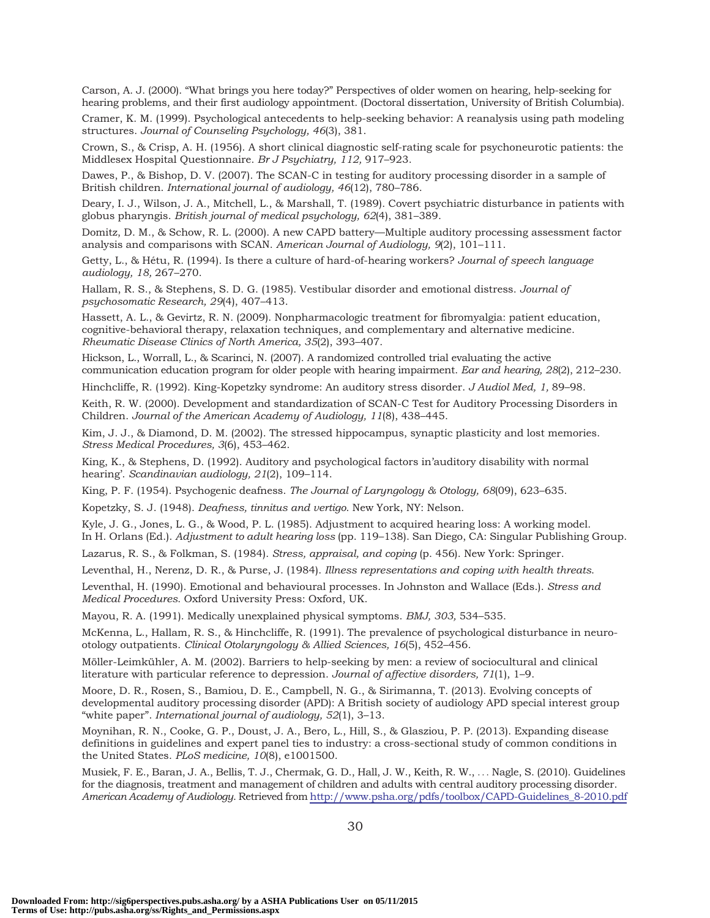Carson, A. J. (2000). "What brings you here today?" Perspectives of older women on hearing, help-seeking for hearing problems, and their first audiology appointment. (Doctoral dissertation, University of British Columbia).

Cramer, K. M. (1999). Psychological antecedents to help-seeking behavior: A reanalysis using path modeling structures. Journal of Counseling Psychology, 46(3), 381.

Crown, S., & Crisp, A. H. (1956). A short clinical diagnostic self-rating scale for psychoneurotic patients: the Middlesex Hospital Questionnaire. Br J Psychiatry, 112, 917–923.

Dawes, P., & Bishop, D. V. (2007). The SCAN-C in testing for auditory processing disorder in a sample of British children. International journal of audiology, 46(12), 780–786.

Deary, I. J., Wilson, J. A., Mitchell, L., & Marshall, T. (1989). Covert psychiatric disturbance in patients with globus pharyngis. British journal of medical psychology, 62(4), 381–389.

Domitz, D. M., & Schow, R. L. (2000). A new CAPD battery—Multiple auditory processing assessment factor analysis and comparisons with SCAN. American Journal of Audiology,  $9(2)$ ,  $101-111$ .

Getty, L., & Hétu, R. (1994). Is there a culture of hard-of-hearing workers? Journal of speech language audiology, 18, 267–270.

Hallam, R. S., & Stephens, S. D. G. (1985). Vestibular disorder and emotional distress. Journal of psychosomatic Research, 29(4), 407–413.

Hassett, A. L., & Gevirtz, R. N. (2009). Nonpharmacologic treatment for fibromyalgia: patient education, cognitive-behavioral therapy, relaxation techniques, and complementary and alternative medicine. Rheumatic Disease Clinics of North America, 35(2), 393–407.

Hickson, L., Worrall, L., & Scarinci, N. (2007). A randomized controlled trial evaluating the active communication education program for older people with hearing impairment. Ear and hearing, 28(2), 212–230.

Hinchcliffe, R. (1992). King-Kopetzky syndrome: An auditory stress disorder. J Audiol Med, 1, 89–98.

Keith, R. W. (2000). Development and standardization of SCAN-C Test for Auditory Processing Disorders in Children. Journal of the American Academy of Audiology, 11(8), 438–445.

Kim, J. J., & Diamond, D. M. (2002). The stressed hippocampus, synaptic plasticity and lost memories. Stress Medical Procedures, 3(6), 453–462.

King, K., & Stephens, D. (1992). Auditory and psychological factors in'auditory disability with normal hearing'. Scandinavian audiology, 21(2), 109–114.

King, P. F. (1954). Psychogenic deafness. The Journal of Laryngology & Otology, 68(09), 623-635.

Kopetzky, S. J. (1948). Deafness, tinnitus and vertigo. New York, NY: Nelson.

Kyle, J. G., Jones, L. G., & Wood, P. L. (1985). Adjustment to acquired hearing loss: A working model. In H. Orlans (Ed.). Adjustment to adult hearing loss (pp. 119–138). San Diego, CA: Singular Publishing Group.

Lazarus, R. S., & Folkman, S. (1984). Stress, appraisal, and coping (p. 456). New York: Springer.

Leventhal, H., Nerenz, D. R., & Purse, J. (1984). Illness representations and coping with health threats.

Leventhal, H. (1990). Emotional and behavioural processes. In Johnston and Wallace (Eds.). Stress and Medical Procedures. Oxford University Press: Oxford, UK.

Mayou, R. A. (1991). Medically unexplained physical symptoms. BMJ, 303, 534–535.

McKenna, L., Hallam, R. S., & Hinchcliffe, R. (1991). The prevalence of psychological disturbance in neurootology outpatients. Clinical Otolaryngology & Allied Sciences, 16(5), 452–456.

Möller-Leimkühler, A. M. (2002). Barriers to help-seeking by men: a review of sociocultural and clinical literature with particular reference to depression. Journal of affective disorders, 71(1), 1–9.

Moore, D. R., Rosen, S., Bamiou, D. E., Campbell, N. G., & Sirimanna, T. (2013). Evolving concepts of developmental auditory processing disorder (APD): A British society of audiology APD special interest group "white paper". International journal of audiology, 52(1), 3–13.

Moynihan, R. N., Cooke, G. P., Doust, J. A., Bero, L., Hill, S., & Glasziou, P. P. (2013). Expanding disease definitions in guidelines and expert panel ties to industry: a cross-sectional study of common conditions in the United States. PLoS medicine, 10(8), e1001500.

Musiek, F. E., Baran, J. A., Bellis, T. J., Chermak, G. D., Hall, J. W., Keith, R. W., ... Nagle, S. (2010). Guidelines for the diagnosis, treatment and management of children and adults with central auditory processing disorder. American Academy of Audiology. Retrieved from [http://www.psha.org/pdfs/toolbox/CAPD-Guidelines\\_8-2010.pdf](http://www.psha.org/pdfs/toolbox/CAPD-Guidelines_8-2010.pdf)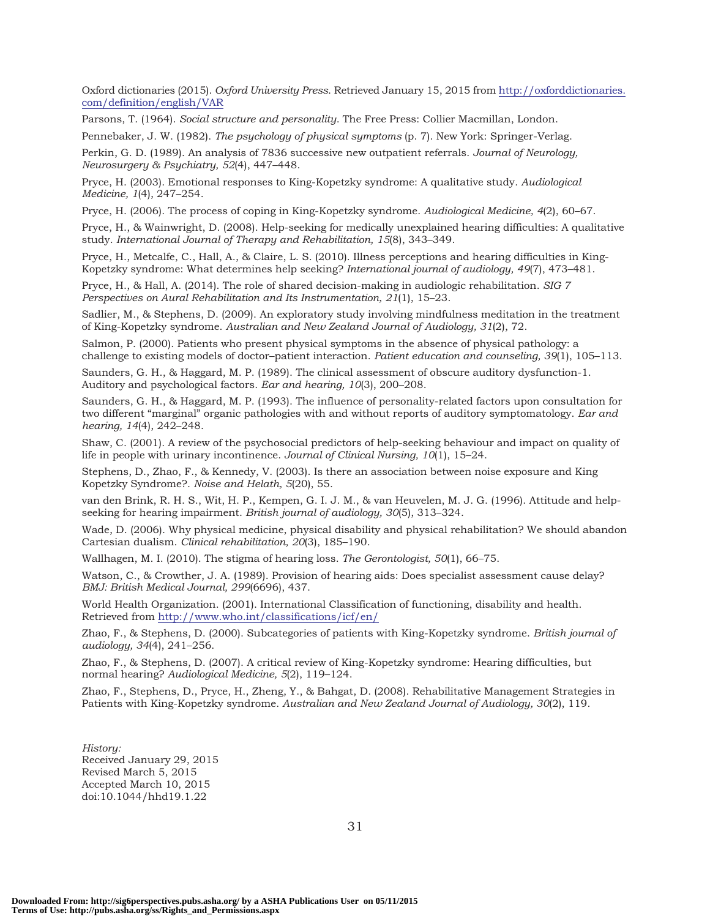Oxford dictionaries (2015). Oxford University Press. Retrieved January 15, 2015 from [http://oxforddictionaries.](http://oxforddictionaries.com/definition/english/VAR) [com/definition/english/VAR](http://oxforddictionaries.com/definition/english/VAR)

Parsons, T. (1964). Social structure and personality. The Free Press: Collier Macmillan, London.

Pennebaker, J. W. (1982). The psychology of physical symptoms (p. 7). New York: Springer-Verlag.

Perkin, G. D. (1989). An analysis of 7836 successive new outpatient referrals. Journal of Neurology, Neurosurgery & Psychiatry, 52(4), 447–448.

Pryce, H. (2003). Emotional responses to King-Kopetzky syndrome: A qualitative study. Audiological Medicine, 1(4), 247–254.

Pryce, H. (2006). The process of coping in King-Kopetzky syndrome. Audiological Medicine, 4(2), 60–67.

Pryce, H., & Wainwright, D. (2008). Help-seeking for medically unexplained hearing difficulties: A qualitative study. International Journal of Therapy and Rehabilitation, 15(8), 343–349.

Pryce, H., Metcalfe, C., Hall, A., & Claire, L. S. (2010). Illness perceptions and hearing difficulties in King-Kopetzky syndrome: What determines help seeking? International journal of audiology, 49(7), 473–481.

Pryce, H., & Hall, A. (2014). The role of shared decision-making in audiologic rehabilitation. SIG 7 Perspectives on Aural Rehabilitation and Its Instrumentation, 21(1), 15–23.

Sadlier, M., & Stephens, D. (2009). An exploratory study involving mindfulness meditation in the treatment of King-Kopetzky syndrome. Australian and New Zealand Journal of Audiology, 31(2), 72.

Salmon, P. (2000). Patients who present physical symptoms in the absence of physical pathology: a challenge to existing models of doctor–patient interaction. Patient education and counseling, 39(1), 105–113.

Saunders, G. H., & Haggard, M. P. (1989). The clinical assessment of obscure auditory dysfunction-1. Auditory and psychological factors. Ear and hearing, 10(3), 200–208.

Saunders, G. H., & Haggard, M. P. (1993). The influence of personality-related factors upon consultation for two different "marginal" organic pathologies with and without reports of auditory symptomatology. Ear and hearing, 14(4), 242–248.

Shaw, C. (2001). A review of the psychosocial predictors of help-seeking behaviour and impact on quality of life in people with urinary incontinence. Journal of Clinical Nursing, 10(1), 15–24.

Stephens, D., Zhao, F., & Kennedy, V. (2003). Is there an association between noise exposure and King Kopetzky Syndrome?. Noise and Helath, 5(20), 55.

van den Brink, R. H. S., Wit, H. P., Kempen, G. I. J. M., & van Heuvelen, M. J. G. (1996). Attitude and helpseeking for hearing impairment. British journal of audiology, 30(5), 313–324.

Wade, D. (2006). Why physical medicine, physical disability and physical rehabilitation? We should abandon Cartesian dualism. Clinical rehabilitation, 20(3), 185–190.

Wallhagen, M. I. (2010). The stigma of hearing loss. The Gerontologist, 50(1), 66–75.

Watson, C., & Crowther, J. A. (1989). Provision of hearing aids: Does specialist assessment cause delay? BMJ: British Medical Journal, 299(6696), 437.

World Health Organization. (2001). International Classification of functioning, disability and health. Retrieved from <http://www.who.int/classifications/icf/en/>

Zhao, F., & Stephens, D. (2000). Subcategories of patients with King-Kopetzky syndrome. British journal of audiology, 34(4), 241–256.

Zhao, F., & Stephens, D. (2007). A critical review of King-Kopetzky syndrome: Hearing difficulties, but normal hearing? Audiological Medicine, 5(2), 119–124.

Zhao, F., Stephens, D., Pryce, H., Zheng, Y., & Bahgat, D. (2008). Rehabilitative Management Strategies in Patients with King-Kopetzky syndrome. Australian and New Zealand Journal of Audiology, 30(2), 119.

History: Received January 29, 2015 Revised March 5, 2015 Accepted March 10, 2015 doi:10.1044/hhd19.1.22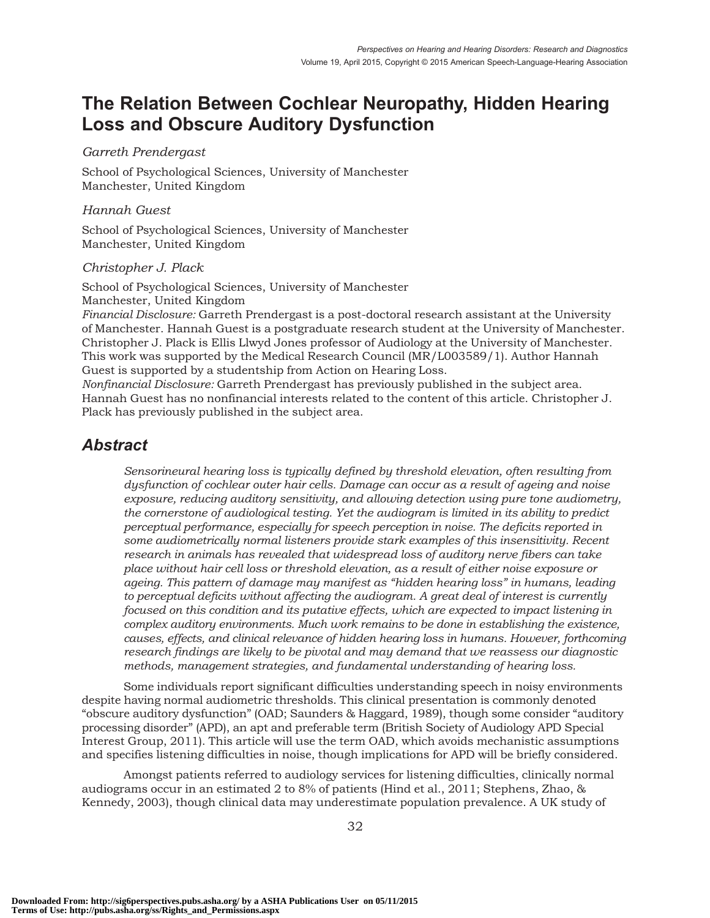# The Relation Between Cochlear Neuropathy, Hidden Hearing Loss and Obscure Auditory Dysfunction

#### Garreth Prendergast

School of Psychological Sciences, University of Manchester Manchester, United Kingdom

#### Hannah Guest

School of Psychological Sciences, University of Manchester Manchester, United Kingdom

#### Christopher J. Plack

School of Psychological Sciences, University of Manchester Manchester, United Kingdom

Financial Disclosure: Garreth Prendergast is a post-doctoral research assistant at the University of Manchester. Hannah Guest is a postgraduate research student at the University of Manchester. Christopher J. Plack is Ellis Llwyd Jones professor of Audiology at the University of Manchester. This work was supported by the Medical Research Council (MR/L003589/1). Author Hannah Guest is supported by a studentship from Action on Hearing Loss.

Nonfinancial Disclosure: Garreth Prendergast has previously published in the subject area. Hannah Guest has no nonfinancial interests related to the content of this article. Christopher J. Plack has previously published in the subject area.

## Abstract

Sensorineural hearing loss is typically defined by threshold elevation, often resulting from dysfunction of cochlear outer hair cells. Damage can occur as a result of ageing and noise exposure, reducing auditory sensitivity, and allowing detection using pure tone audiometry, the cornerstone of audiological testing. Yet the audiogram is limited in its ability to predict perceptual performance, especially for speech perception in noise. The deficits reported in some audiometrically normal listeners provide stark examples of this insensitivity. Recent research in animals has revealed that widespread loss of auditory nerve fibers can take place without hair cell loss or threshold elevation, as a result of either noise exposure or ageing. This pattern of damage may manifest as "hidden hearing loss" in humans, leading to perceptual deficits without affecting the audiogram. A great deal of interest is currently focused on this condition and its putative effects, which are expected to impact listening in complex auditory environments. Much work remains to be done in establishing the existence, causes, effects, and clinical relevance of hidden hearing loss in humans. However, forthcoming research findings are likely to be pivotal and may demand that we reassess our diagnostic methods, management strategies, and fundamental understanding of hearing loss.

Some individuals report significant difficulties understanding speech in noisy environments despite having normal audiometric thresholds. This clinical presentation is commonly denoted "obscure auditory dysfunction" (OAD; Saunders & Haggard, 1989), though some consider "auditory processing disorder" (APD), an apt and preferable term (British Society of Audiology APD Special Interest Group, 2011). This article will use the term OAD, which avoids mechanistic assumptions and specifies listening difficulties in noise, though implications for APD will be briefly considered.

Amongst patients referred to audiology services for listening difficulties, clinically normal audiograms occur in an estimated 2 to 8% of patients (Hind et al., 2011; Stephens, Zhao, & Kennedy, 2003), though clinical data may underestimate population prevalence. A UK study of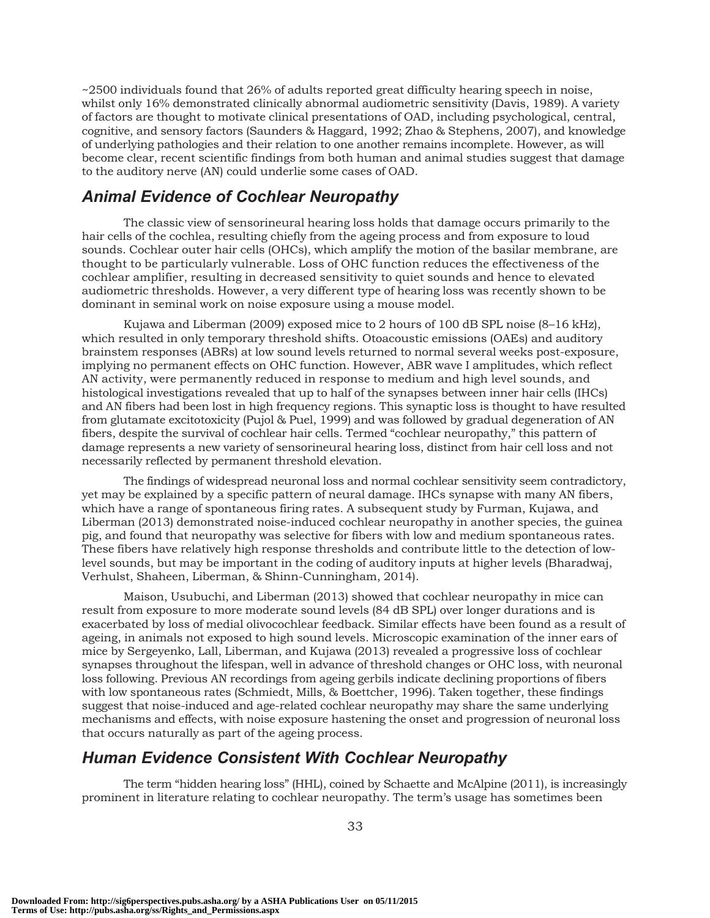~2500 individuals found that 26% of adults reported great difficulty hearing speech in noise, whilst only 16% demonstrated clinically abnormal audiometric sensitivity (Davis, 1989). A variety of factors are thought to motivate clinical presentations of OAD, including psychological, central, cognitive, and sensory factors (Saunders & Haggard, 1992; Zhao & Stephens, 2007), and knowledge of underlying pathologies and their relation to one another remains incomplete. However, as will become clear, recent scientific findings from both human and animal studies suggest that damage to the auditory nerve (AN) could underlie some cases of OAD.

## Animal Evidence of Cochlear Neuropathy

The classic view of sensorineural hearing loss holds that damage occurs primarily to the hair cells of the cochlea, resulting chiefly from the ageing process and from exposure to loud sounds. Cochlear outer hair cells (OHCs), which amplify the motion of the basilar membrane, are thought to be particularly vulnerable. Loss of OHC function reduces the effectiveness of the cochlear amplifier, resulting in decreased sensitivity to quiet sounds and hence to elevated audiometric thresholds. However, a very different type of hearing loss was recently shown to be dominant in seminal work on noise exposure using a mouse model.

Kujawa and Liberman (2009) exposed mice to 2 hours of 100 dB SPL noise (8–16 kHz), which resulted in only temporary threshold shifts. Otoacoustic emissions (OAEs) and auditory brainstem responses (ABRs) at low sound levels returned to normal several weeks post-exposure, implying no permanent effects on OHC function. However, ABR wave I amplitudes, which reflect AN activity, were permanently reduced in response to medium and high level sounds, and histological investigations revealed that up to half of the synapses between inner hair cells (IHCs) and AN fibers had been lost in high frequency regions. This synaptic loss is thought to have resulted from glutamate excitotoxicity (Pujol & Puel, 1999) and was followed by gradual degeneration of AN fibers, despite the survival of cochlear hair cells. Termed "cochlear neuropathy," this pattern of damage represents a new variety of sensorineural hearing loss, distinct from hair cell loss and not necessarily reflected by permanent threshold elevation.

The findings of widespread neuronal loss and normal cochlear sensitivity seem contradictory, yet may be explained by a specific pattern of neural damage. IHCs synapse with many AN fibers, which have a range of spontaneous firing rates. A subsequent study by Furman, Kujawa, and Liberman (2013) demonstrated noise-induced cochlear neuropathy in another species, the guinea pig, and found that neuropathy was selective for fibers with low and medium spontaneous rates. These fibers have relatively high response thresholds and contribute little to the detection of lowlevel sounds, but may be important in the coding of auditory inputs at higher levels (Bharadwaj, Verhulst, Shaheen, Liberman, & Shinn-Cunningham, 2014).

Maison, Usubuchi, and Liberman (2013) showed that cochlear neuropathy in mice can result from exposure to more moderate sound levels (84 dB SPL) over longer durations and is exacerbated by loss of medial olivocochlear feedback. Similar effects have been found as a result of ageing, in animals not exposed to high sound levels. Microscopic examination of the inner ears of mice by Sergeyenko, Lall, Liberman, and Kujawa (2013) revealed a progressive loss of cochlear synapses throughout the lifespan, well in advance of threshold changes or OHC loss, with neuronal loss following. Previous AN recordings from ageing gerbils indicate declining proportions of fibers with low spontaneous rates (Schmiedt, Mills, & Boettcher, 1996). Taken together, these findings suggest that noise-induced and age-related cochlear neuropathy may share the same underlying mechanisms and effects, with noise exposure hastening the onset and progression of neuronal loss that occurs naturally as part of the ageing process.

## Human Evidence Consistent With Cochlear Neuropathy

The term "hidden hearing loss" (HHL), coined by Schaette and McAlpine (2011), is increasingly prominent in literature relating to cochlear neuropathy. The term's usage has sometimes been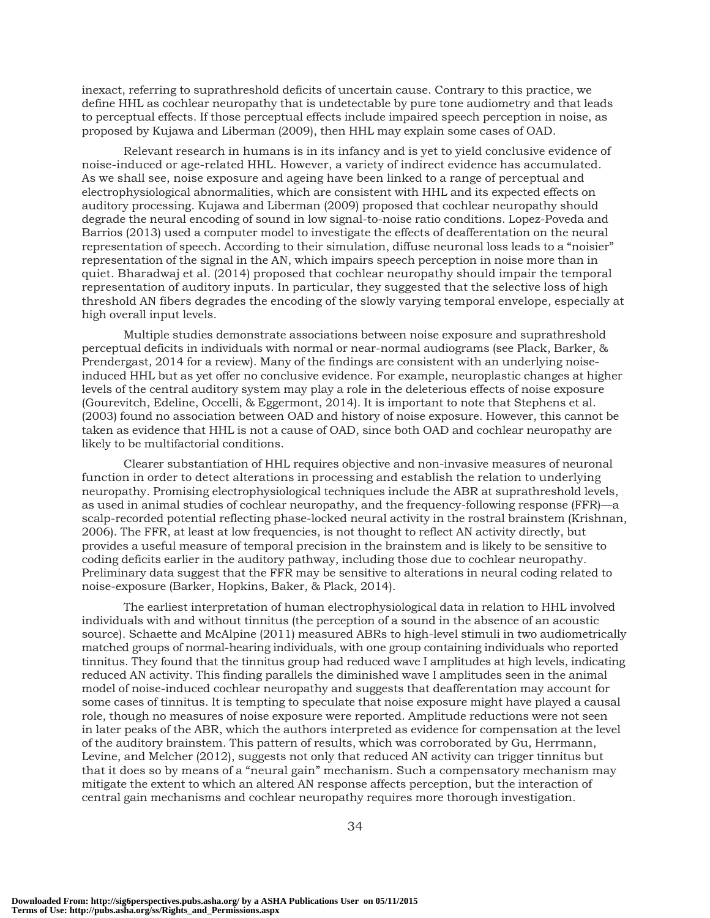inexact, referring to suprathreshold deficits of uncertain cause. Contrary to this practice, we define HHL as cochlear neuropathy that is undetectable by pure tone audiometry and that leads to perceptual effects. If those perceptual effects include impaired speech perception in noise, as proposed by Kujawa and Liberman (2009), then HHL may explain some cases of OAD.

Relevant research in humans is in its infancy and is yet to yield conclusive evidence of noise-induced or age-related HHL. However, a variety of indirect evidence has accumulated. As we shall see, noise exposure and ageing have been linked to a range of perceptual and electrophysiological abnormalities, which are consistent with HHL and its expected effects on auditory processing. Kujawa and Liberman (2009) proposed that cochlear neuropathy should degrade the neural encoding of sound in low signal-to-noise ratio conditions. Lopez-Poveda and Barrios (2013) used a computer model to investigate the effects of deafferentation on the neural representation of speech. According to their simulation, diffuse neuronal loss leads to a "noisier" representation of the signal in the AN, which impairs speech perception in noise more than in quiet. Bharadwaj et al. (2014) proposed that cochlear neuropathy should impair the temporal representation of auditory inputs. In particular, they suggested that the selective loss of high threshold AN fibers degrades the encoding of the slowly varying temporal envelope, especially at high overall input levels.

Multiple studies demonstrate associations between noise exposure and suprathreshold perceptual deficits in individuals with normal or near-normal audiograms (see Plack, Barker, & Prendergast, 2014 for a review). Many of the findings are consistent with an underlying noiseinduced HHL but as yet offer no conclusive evidence. For example, neuroplastic changes at higher levels of the central auditory system may play a role in the deleterious effects of noise exposure (Gourevitch, Edeline, Occelli, & Eggermont, 2014). It is important to note that Stephens et al. (2003) found no association between OAD and history of noise exposure. However, this cannot be taken as evidence that HHL is not a cause of OAD, since both OAD and cochlear neuropathy are likely to be multifactorial conditions.

Clearer substantiation of HHL requires objective and non-invasive measures of neuronal function in order to detect alterations in processing and establish the relation to underlying neuropathy. Promising electrophysiological techniques include the ABR at suprathreshold levels, as used in animal studies of cochlear neuropathy, and the frequency-following response (FFR)—a scalp-recorded potential reflecting phase-locked neural activity in the rostral brainstem (Krishnan, 2006). The FFR, at least at low frequencies, is not thought to reflect AN activity directly, but provides a useful measure of temporal precision in the brainstem and is likely to be sensitive to coding deficits earlier in the auditory pathway, including those due to cochlear neuropathy. Preliminary data suggest that the FFR may be sensitive to alterations in neural coding related to noise-exposure (Barker, Hopkins, Baker, & Plack, 2014).

The earliest interpretation of human electrophysiological data in relation to HHL involved individuals with and without tinnitus (the perception of a sound in the absence of an acoustic source). Schaette and McAlpine (2011) measured ABRs to high-level stimuli in two audiometrically matched groups of normal-hearing individuals, with one group containing individuals who reported tinnitus. They found that the tinnitus group had reduced wave I amplitudes at high levels, indicating reduced AN activity. This finding parallels the diminished wave I amplitudes seen in the animal model of noise-induced cochlear neuropathy and suggests that deafferentation may account for some cases of tinnitus. It is tempting to speculate that noise exposure might have played a causal role, though no measures of noise exposure were reported. Amplitude reductions were not seen in later peaks of the ABR, which the authors interpreted as evidence for compensation at the level of the auditory brainstem. This pattern of results, which was corroborated by Gu, Herrmann, Levine, and Melcher (2012), suggests not only that reduced AN activity can trigger tinnitus but that it does so by means of a "neural gain" mechanism. Such a compensatory mechanism may mitigate the extent to which an altered AN response affects perception, but the interaction of central gain mechanisms and cochlear neuropathy requires more thorough investigation.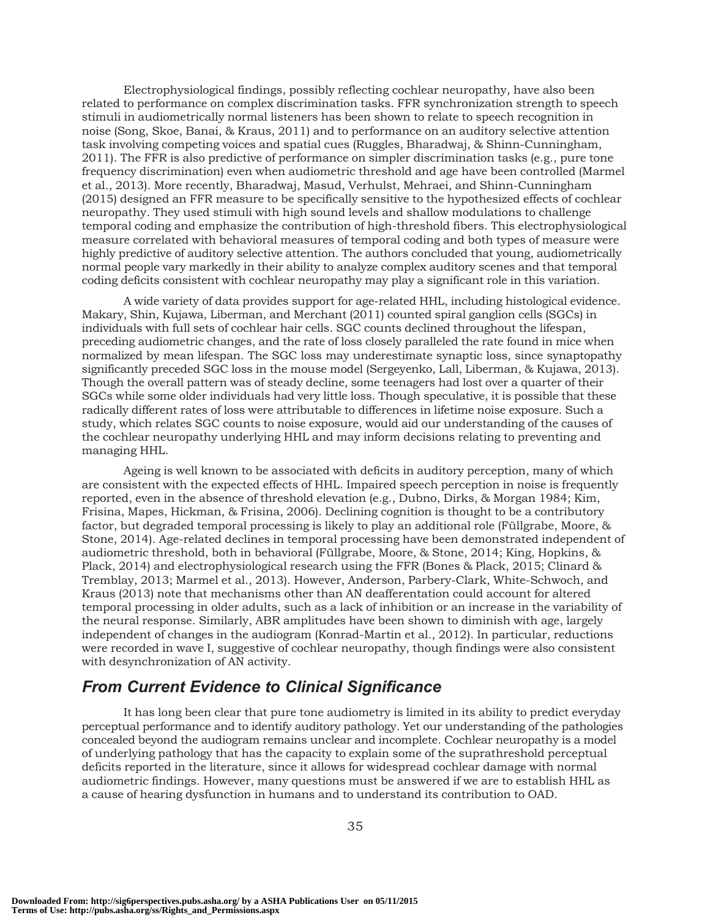Electrophysiological findings, possibly reflecting cochlear neuropathy, have also been related to performance on complex discrimination tasks. FFR synchronization strength to speech stimuli in audiometrically normal listeners has been shown to relate to speech recognition in noise (Song, Skoe, Banai, & Kraus, 2011) and to performance on an auditory selective attention task involving competing voices and spatial cues (Ruggles, Bharadwaj, & Shinn-Cunningham, 2011). The FFR is also predictive of performance on simpler discrimination tasks (e.g., pure tone frequency discrimination) even when audiometric threshold and age have been controlled (Marmel et al., 2013). More recently, Bharadwaj, Masud, Verhulst, Mehraei, and Shinn-Cunningham (2015) designed an FFR measure to be specifically sensitive to the hypothesized effects of cochlear neuropathy. They used stimuli with high sound levels and shallow modulations to challenge temporal coding and emphasize the contribution of high-threshold fibers. This electrophysiological measure correlated with behavioral measures of temporal coding and both types of measure were highly predictive of auditory selective attention. The authors concluded that young, audiometrically normal people vary markedly in their ability to analyze complex auditory scenes and that temporal coding deficits consistent with cochlear neuropathy may play a significant role in this variation.

A wide variety of data provides support for age-related HHL, including histological evidence. Makary, Shin, Kujawa, Liberman, and Merchant (2011) counted spiral ganglion cells (SGCs) in individuals with full sets of cochlear hair cells. SGC counts declined throughout the lifespan, preceding audiometric changes, and the rate of loss closely paralleled the rate found in mice when normalized by mean lifespan. The SGC loss may underestimate synaptic loss, since synaptopathy significantly preceded SGC loss in the mouse model (Sergeyenko, Lall, Liberman, & Kujawa, 2013). Though the overall pattern was of steady decline, some teenagers had lost over a quarter of their SGCs while some older individuals had very little loss. Though speculative, it is possible that these radically different rates of loss were attributable to differences in lifetime noise exposure. Such a study, which relates SGC counts to noise exposure, would aid our understanding of the causes of the cochlear neuropathy underlying HHL and may inform decisions relating to preventing and managing HHL.

Ageing is well known to be associated with deficits in auditory perception, many of which are consistent with the expected effects of HHL. Impaired speech perception in noise is frequently reported, even in the absence of threshold elevation (e.g., Dubno, Dirks, & Morgan 1984; Kim, Frisina, Mapes, Hickman, & Frisina, 2006). Declining cognition is thought to be a contributory factor, but degraded temporal processing is likely to play an additional role (Füllgrabe, Moore, & Stone, 2014). Age-related declines in temporal processing have been demonstrated independent of audiometric threshold, both in behavioral (Füllgrabe, Moore, & Stone, 2014; King, Hopkins, & Plack, 2014) and electrophysiological research using the FFR (Bones & Plack, 2015; Clinard & Tremblay, 2013; Marmel et al., 2013). However, Anderson, Parbery-Clark, White-Schwoch, and Kraus (2013) note that mechanisms other than AN deafferentation could account for altered temporal processing in older adults, such as a lack of inhibition or an increase in the variability of the neural response. Similarly, ABR amplitudes have been shown to diminish with age, largely independent of changes in the audiogram (Konrad-Martin et al., 2012). In particular, reductions were recorded in wave I, suggestive of cochlear neuropathy, though findings were also consistent with desynchronization of AN activity.

## From Current Evidence to Clinical Significance

It has long been clear that pure tone audiometry is limited in its ability to predict everyday perceptual performance and to identify auditory pathology. Yet our understanding of the pathologies concealed beyond the audiogram remains unclear and incomplete. Cochlear neuropathy is a model of underlying pathology that has the capacity to explain some of the suprathreshold perceptual deficits reported in the literature, since it allows for widespread cochlear damage with normal audiometric findings. However, many questions must be answered if we are to establish HHL as a cause of hearing dysfunction in humans and to understand its contribution to OAD.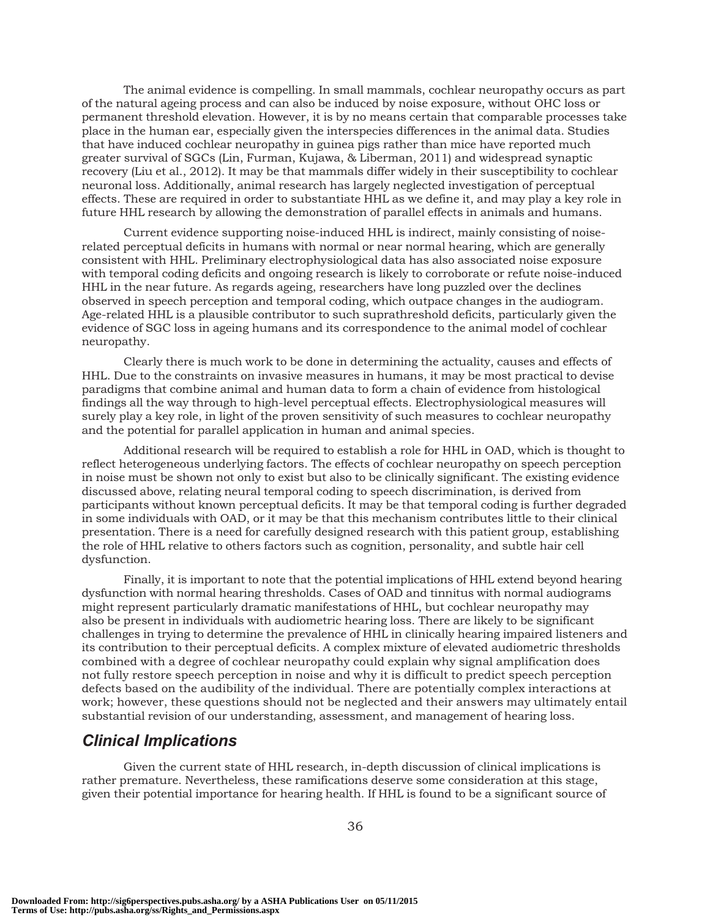The animal evidence is compelling. In small mammals, cochlear neuropathy occurs as part of the natural ageing process and can also be induced by noise exposure, without OHC loss or permanent threshold elevation. However, it is by no means certain that comparable processes take place in the human ear, especially given the interspecies differences in the animal data. Studies that have induced cochlear neuropathy in guinea pigs rather than mice have reported much greater survival of SGCs (Lin, Furman, Kujawa, & Liberman, 2011) and widespread synaptic recovery (Liu et al., 2012). It may be that mammals differ widely in their susceptibility to cochlear neuronal loss. Additionally, animal research has largely neglected investigation of perceptual effects. These are required in order to substantiate HHL as we define it, and may play a key role in future HHL research by allowing the demonstration of parallel effects in animals and humans.

Current evidence supporting noise-induced HHL is indirect, mainly consisting of noiserelated perceptual deficits in humans with normal or near normal hearing, which are generally consistent with HHL. Preliminary electrophysiological data has also associated noise exposure with temporal coding deficits and ongoing research is likely to corroborate or refute noise-induced HHL in the near future. As regards ageing, researchers have long puzzled over the declines observed in speech perception and temporal coding, which outpace changes in the audiogram. Age-related HHL is a plausible contributor to such suprathreshold deficits, particularly given the evidence of SGC loss in ageing humans and its correspondence to the animal model of cochlear neuropathy.

Clearly there is much work to be done in determining the actuality, causes and effects of HHL. Due to the constraints on invasive measures in humans, it may be most practical to devise paradigms that combine animal and human data to form a chain of evidence from histological findings all the way through to high-level perceptual effects. Electrophysiological measures will surely play a key role, in light of the proven sensitivity of such measures to cochlear neuropathy and the potential for parallel application in human and animal species.

Additional research will be required to establish a role for HHL in OAD, which is thought to reflect heterogeneous underlying factors. The effects of cochlear neuropathy on speech perception in noise must be shown not only to exist but also to be clinically significant. The existing evidence discussed above, relating neural temporal coding to speech discrimination, is derived from participants without known perceptual deficits. It may be that temporal coding is further degraded in some individuals with OAD, or it may be that this mechanism contributes little to their clinical presentation. There is a need for carefully designed research with this patient group, establishing the role of HHL relative to others factors such as cognition, personality, and subtle hair cell dysfunction.

Finally, it is important to note that the potential implications of HHL extend beyond hearing dysfunction with normal hearing thresholds. Cases of OAD and tinnitus with normal audiograms might represent particularly dramatic manifestations of HHL, but cochlear neuropathy may also be present in individuals with audiometric hearing loss. There are likely to be significant challenges in trying to determine the prevalence of HHL in clinically hearing impaired listeners and its contribution to their perceptual deficits. A complex mixture of elevated audiometric thresholds combined with a degree of cochlear neuropathy could explain why signal amplification does not fully restore speech perception in noise and why it is difficult to predict speech perception defects based on the audibility of the individual. There are potentially complex interactions at work; however, these questions should not be neglected and their answers may ultimately entail substantial revision of our understanding, assessment, and management of hearing loss.

### Clinical Implications

Given the current state of HHL research, in-depth discussion of clinical implications is rather premature. Nevertheless, these ramifications deserve some consideration at this stage, given their potential importance for hearing health. If HHL is found to be a significant source of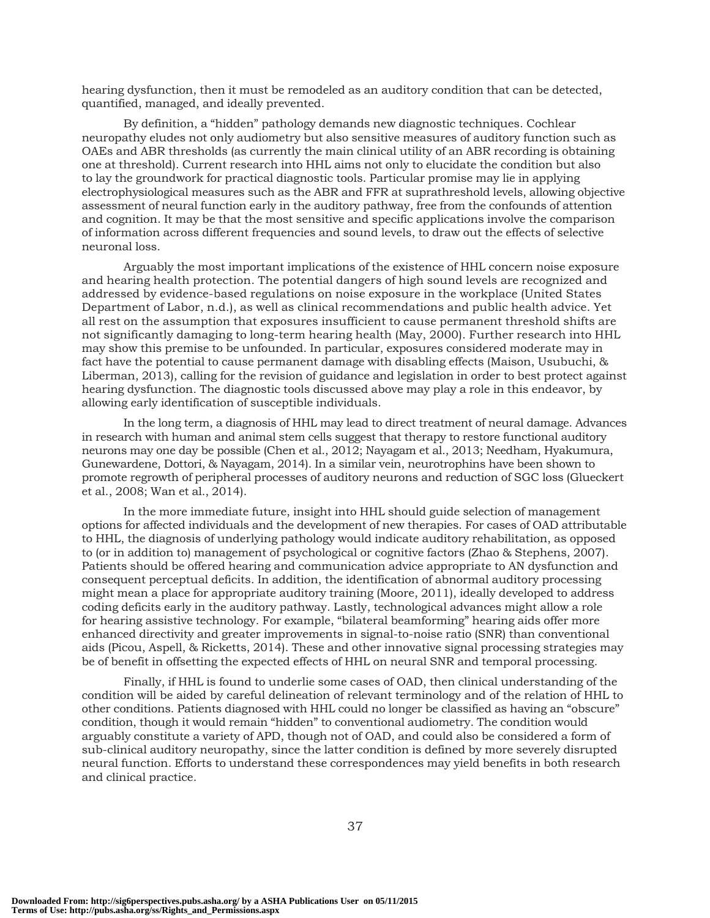hearing dysfunction, then it must be remodeled as an auditory condition that can be detected, quantified, managed, and ideally prevented.

By definition, a "hidden" pathology demands new diagnostic techniques. Cochlear neuropathy eludes not only audiometry but also sensitive measures of auditory function such as OAEs and ABR thresholds (as currently the main clinical utility of an ABR recording is obtaining one at threshold). Current research into HHL aims not only to elucidate the condition but also to lay the groundwork for practical diagnostic tools. Particular promise may lie in applying electrophysiological measures such as the ABR and FFR at suprathreshold levels, allowing objective assessment of neural function early in the auditory pathway, free from the confounds of attention and cognition. It may be that the most sensitive and specific applications involve the comparison of information across different frequencies and sound levels, to draw out the effects of selective neuronal loss.

Arguably the most important implications of the existence of HHL concern noise exposure and hearing health protection. The potential dangers of high sound levels are recognized and addressed by evidence-based regulations on noise exposure in the workplace (United States Department of Labor, n.d.), as well as clinical recommendations and public health advice. Yet all rest on the assumption that exposures insufficient to cause permanent threshold shifts are not significantly damaging to long-term hearing health (May, 2000). Further research into HHL may show this premise to be unfounded. In particular, exposures considered moderate may in fact have the potential to cause permanent damage with disabling effects (Maison, Usubuchi, & Liberman, 2013), calling for the revision of guidance and legislation in order to best protect against hearing dysfunction. The diagnostic tools discussed above may play a role in this endeavor, by allowing early identification of susceptible individuals.

In the long term, a diagnosis of HHL may lead to direct treatment of neural damage. Advances in research with human and animal stem cells suggest that therapy to restore functional auditory neurons may one day be possible (Chen et al., 2012; Nayagam et al., 2013; Needham, Hyakumura, Gunewardene, Dottori, & Nayagam, 2014). In a similar vein, neurotrophins have been shown to promote regrowth of peripheral processes of auditory neurons and reduction of SGC loss (Glueckert et al., 2008; Wan et al., 2014).

In the more immediate future, insight into HHL should guide selection of management options for affected individuals and the development of new therapies. For cases of OAD attributable to HHL, the diagnosis of underlying pathology would indicate auditory rehabilitation, as opposed to (or in addition to) management of psychological or cognitive factors (Zhao & Stephens, 2007). Patients should be offered hearing and communication advice appropriate to AN dysfunction and consequent perceptual deficits. In addition, the identification of abnormal auditory processing might mean a place for appropriate auditory training (Moore, 2011), ideally developed to address coding deficits early in the auditory pathway. Lastly, technological advances might allow a role for hearing assistive technology. For example, "bilateral beamforming" hearing aids offer more enhanced directivity and greater improvements in signal-to-noise ratio (SNR) than conventional aids (Picou, Aspell, & Ricketts, 2014). These and other innovative signal processing strategies may be of benefit in offsetting the expected effects of HHL on neural SNR and temporal processing.

Finally, if HHL is found to underlie some cases of OAD, then clinical understanding of the condition will be aided by careful delineation of relevant terminology and of the relation of HHL to other conditions. Patients diagnosed with HHL could no longer be classified as having an "obscure" condition, though it would remain "hidden" to conventional audiometry. The condition would arguably constitute a variety of APD, though not of OAD, and could also be considered a form of sub-clinical auditory neuropathy, since the latter condition is defined by more severely disrupted neural function. Efforts to understand these correspondences may yield benefits in both research and clinical practice.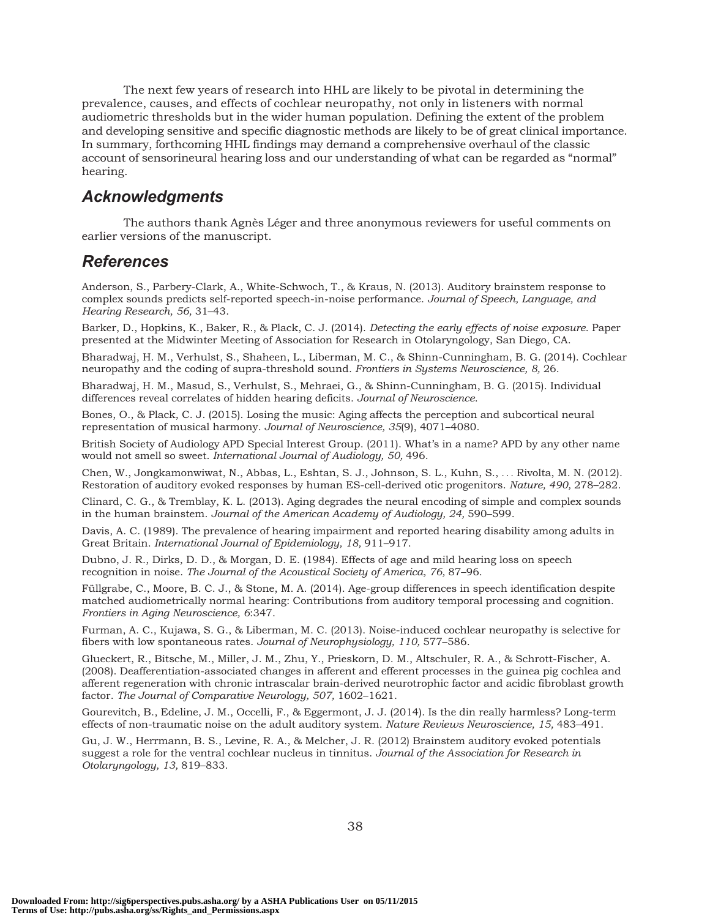The next few years of research into HHL are likely to be pivotal in determining the prevalence, causes, and effects of cochlear neuropathy, not only in listeners with normal audiometric thresholds but in the wider human population. Defining the extent of the problem and developing sensitive and specific diagnostic methods are likely to be of great clinical importance. In summary, forthcoming HHL findings may demand a comprehensive overhaul of the classic account of sensorineural hearing loss and our understanding of what can be regarded as "normal" hearing.

### Acknowledgments

The authors thank Agnès Léger and three anonymous reviewers for useful comments on earlier versions of the manuscript.

### **References**

Anderson, S., Parbery-Clark, A., White-Schwoch, T., & Kraus, N. (2013). Auditory brainstem response to complex sounds predicts self-reported speech-in-noise performance. Journal of Speech, Language, and Hearing Research, 56, 31–43.

Barker, D., Hopkins, K., Baker, R., & Plack, C. J. (2014). Detecting the early effects of noise exposure. Paper presented at the Midwinter Meeting of Association for Research in Otolaryngology, San Diego, CA.

Bharadwaj, H. M., Verhulst, S., Shaheen, L., Liberman, M. C., & Shinn-Cunningham, B. G. (2014). Cochlear neuropathy and the coding of supra-threshold sound. Frontiers in Systems Neuroscience, 8, 26.

Bharadwaj, H. M., Masud, S., Verhulst, S., Mehraei, G., & Shinn-Cunningham, B. G. (2015). Individual differences reveal correlates of hidden hearing deficits. Journal of Neuroscience.

Bones, O., & Plack, C. J. (2015). Losing the music: Aging affects the perception and subcortical neural representation of musical harmony. Journal of Neuroscience, 35(9), 4071–4080.

British Society of Audiology APD Special Interest Group. (2011). What's in a name? APD by any other name would not smell so sweet. International Journal of Audiology, 50, 496.

Chen, W., Jongkamonwiwat, N., Abbas, L., Eshtan, S. J., Johnson, S. L., Kuhn, S., ... Rivolta, M. N. (2012). Restoration of auditory evoked responses by human ES-cell-derived otic progenitors. Nature, 490, 278–282.

Clinard, C. G., & Tremblay, K. L. (2013). Aging degrades the neural encoding of simple and complex sounds in the human brainstem. Journal of the American Academy of Audiology, 24, 590–599.

Davis, A. C. (1989). The prevalence of hearing impairment and reported hearing disability among adults in Great Britain. International Journal of Epidemiology, 18, 911–917.

Dubno, J. R., Dirks, D. D., & Morgan, D. E. (1984). Effects of age and mild hearing loss on speech recognition in noise. The Journal of the Acoustical Society of America, 76, 87–96.

Füllgrabe, C., Moore, B. C. J., & Stone, M. A. (2014). Age-group differences in speech identification despite matched audiometrically normal hearing: Contributions from auditory temporal processing and cognition. Frontiers in Aging Neuroscience, 6:347.

Furman, A. C., Kujawa, S. G., & Liberman, M. C. (2013). Noise-induced cochlear neuropathy is selective for fibers with low spontaneous rates. Journal of Neurophysiology, 110, 577–586.

Glueckert, R., Bitsche, M., Miller, J. M., Zhu, Y., Prieskorn, D. M., Altschuler, R. A., & Schrott-Fischer, A. (2008). Deafferentiation-associated changes in afferent and efferent processes in the guinea pig cochlea and afferent regeneration with chronic intrascalar brain-derived neurotrophic factor and acidic fibroblast growth factor. The Journal of Comparative Neurology, 507, 1602–1621.

Gourevitch, B., Edeline, J. M., Occelli, F., & Eggermont, J. J. (2014). Is the din really harmless? Long-term effects of non-traumatic noise on the adult auditory system. Nature Reviews Neuroscience, 15, 483–491.

Gu, J. W., Herrmann, B. S., Levine, R. A., & Melcher, J. R. (2012) Brainstem auditory evoked potentials suggest a role for the ventral cochlear nucleus in tinnitus. Journal of the Association for Research in Otolaryngology, 13, 819–833.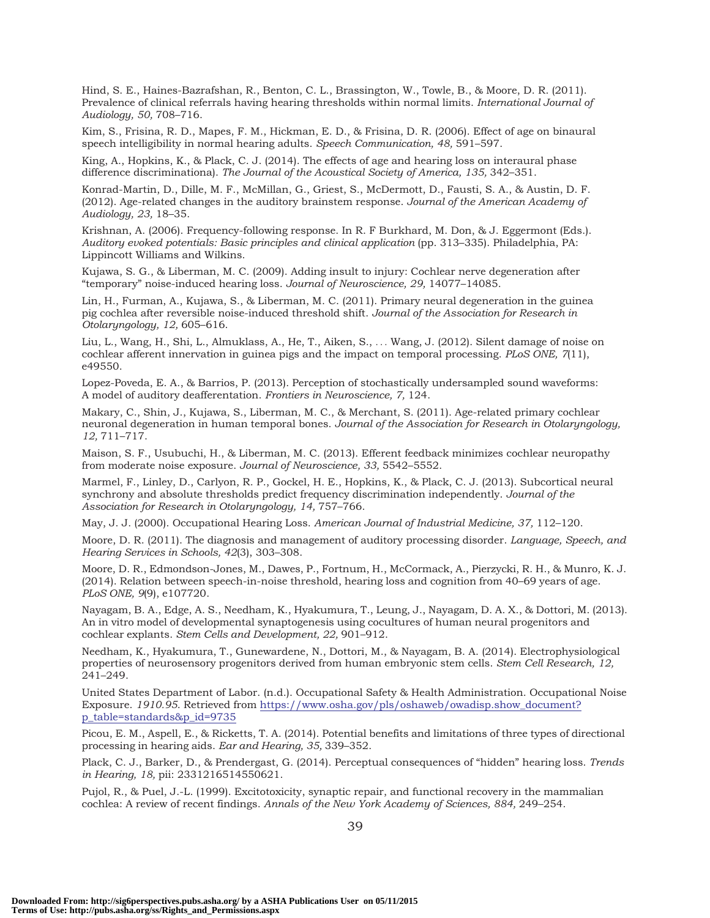Hind, S. E., Haines-Bazrafshan, R., Benton, C. L., Brassington, W., Towle, B., & Moore, D. R. (2011). Prevalence of clinical referrals having hearing thresholds within normal limits. International Journal of Audiology, 50, 708–716.

Kim, S., Frisina, R. D., Mapes, F. M., Hickman, E. D., & Frisina, D. R. (2006). Effect of age on binaural speech intelligibility in normal hearing adults. Speech Communication, 48, 591–597.

King, A., Hopkins, K., & Plack, C. J. (2014). The effects of age and hearing loss on interaural phase difference discriminationa). The Journal of the Acoustical Society of America, 135, 342–351.

Konrad-Martin, D., Dille, M. F., McMillan, G., Griest, S., McDermott, D., Fausti, S. A., & Austin, D. F. (2012). Age-related changes in the auditory brainstem response. Journal of the American Academy of Audiology, 23, 18–35.

Krishnan, A. (2006). Frequency-following response. In R. F Burkhard, M. Don, & J. Eggermont (Eds.). Auditory evoked potentials: Basic principles and clinical application (pp. 313–335). Philadelphia, PA: Lippincott Williams and Wilkins.

Kujawa, S. G., & Liberman, M. C. (2009). Adding insult to injury: Cochlear nerve degeneration after "temporary" noise-induced hearing loss. Journal of Neuroscience, 29, 14077–14085.

Lin, H., Furman, A., Kujawa, S., & Liberman, M. C. (2011). Primary neural degeneration in the guinea pig cochlea after reversible noise-induced threshold shift. Journal of the Association for Research in Otolaryngology, 12, 605–616.

Liu, L., Wang, H., Shi, L., Almuklass, A., He, T., Aiken, S., ... Wang, J. (2012). Silent damage of noise on cochlear afferent innervation in guinea pigs and the impact on temporal processing. PLoS ONE, 7(11), e49550.

Lopez-Poveda, E. A., & Barrios, P. (2013). Perception of stochastically undersampled sound waveforms: A model of auditory deafferentation. Frontiers in Neuroscience, 7, 124.

Makary, C., Shin, J., Kujawa, S., Liberman, M. C., & Merchant, S. (2011). Age-related primary cochlear neuronal degeneration in human temporal bones. Journal of the Association for Research in Otolaryngology, 12, 711–717.

Maison, S. F., Usubuchi, H., & Liberman, M. C. (2013). Efferent feedback minimizes cochlear neuropathy from moderate noise exposure. Journal of Neuroscience, 33, 5542–5552.

Marmel, F., Linley, D., Carlyon, R. P., Gockel, H. E., Hopkins, K., & Plack, C. J. (2013). Subcortical neural synchrony and absolute thresholds predict frequency discrimination independently. Journal of the Association for Research in Otolaryngology, 14, 757–766.

May, J. J. (2000). Occupational Hearing Loss. American Journal of Industrial Medicine, 37, 112–120.

Moore, D. R. (2011). The diagnosis and management of auditory processing disorder. Language, Speech, and Hearing Services in Schools, 42(3), 303–308.

Moore, D. R., Edmondson-Jones, M., Dawes, P., Fortnum, H., McCormack, A., Pierzycki, R. H., & Munro, K. J. (2014). Relation between speech-in-noise threshold, hearing loss and cognition from 40–69 years of age. PLoS ONE, 9(9), e107720.

Nayagam, B. A., Edge, A. S., Needham, K., Hyakumura, T., Leung, J., Nayagam, D. A. X., & Dottori, M. (2013). An in vitro model of developmental synaptogenesis using cocultures of human neural progenitors and cochlear explants. Stem Cells and Development, 22, 901–912.

Needham, K., Hyakumura, T., Gunewardene, N., Dottori, M., & Nayagam, B. A. (2014). Electrophysiological properties of neurosensory progenitors derived from human embryonic stem cells. Stem Cell Research, 12, 241–249.

United States Department of Labor. (n.d.). Occupational Safety & Health Administration. Occupational Noise Exposure. 1910.95. Retrieved from [https://www.osha.gov/pls/oshaweb/owadisp.show\\_document?](https://www.osha.gov/pls/oshaweb/owadisp.show_document?p_table=standards&p_id=9735) [p\\_table=standards&p\\_id=9735](https://www.osha.gov/pls/oshaweb/owadisp.show_document?p_table=standards&p_id=9735)

Picou, E. M., Aspell, E., & Ricketts, T. A. (2014). Potential benefits and limitations of three types of directional processing in hearing aids. Ear and Hearing, 35, 339–352.

Plack, C. J., Barker, D., & Prendergast, G. (2014). Perceptual consequences of "hidden" hearing loss. Trends in Hearing, 18, pii: 2331216514550621.

Pujol, R., & Puel, J.-L. (1999). Excitotoxicity, synaptic repair, and functional recovery in the mammalian cochlea: A review of recent findings. Annals of the New York Academy of Sciences, 884, 249–254.